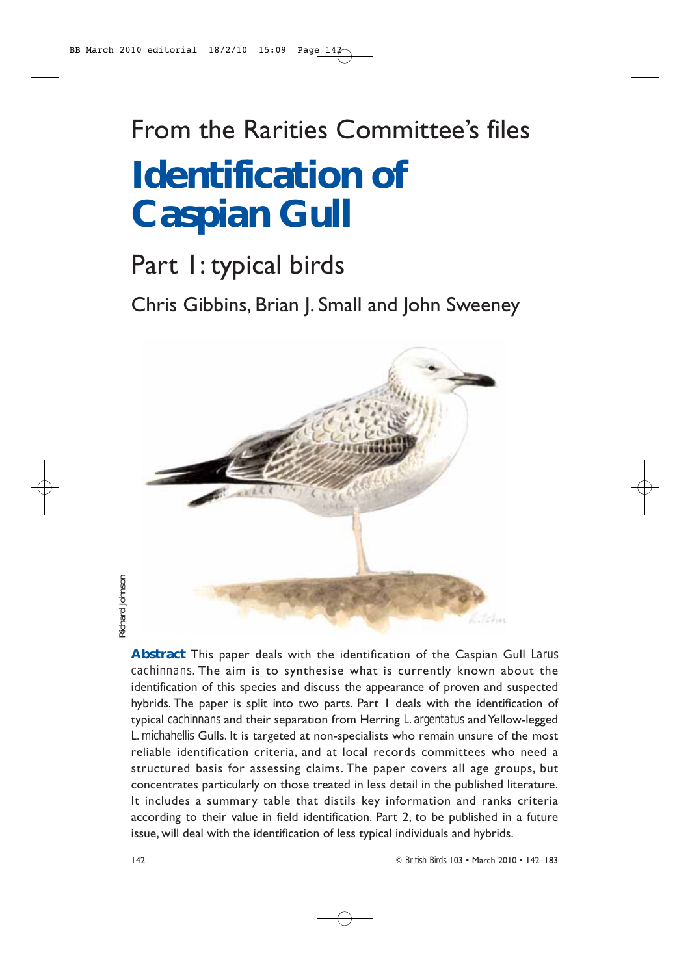# From the Rarities Committee's files **Identification of Caspian Gull**

## Part 1: typical birds

Chris Gibbins, Brian J. Small and John Sweeney



aichard Johnson *Richard Johnson*

> **Abstract** This paper deals with the identification of the Caspian Gull *Larus cachinnans*. The aim is to synthesise what is currently known about the identification of this species and discuss the appearance of proven and suspected hybrids. The paper is split into two parts. Part 1 deals with the identification of typical *cachinnans* and their separation from Herring *L. argentatus* and Yellow-legged *L. michahellis* Gulls. It is targeted at non-specialists who remain unsure of the most reliable identification criteria, and at local records committees who need a structured basis for assessing claims. The paper covers all age groups, but concentrates particularly on those treated in less detail in the published literature. It includes a summary table that distils key information and ranks criteria according to their value in field identification. Part 2, to be published in a future issue, will deal with the identification of less typical individuals and hybrids.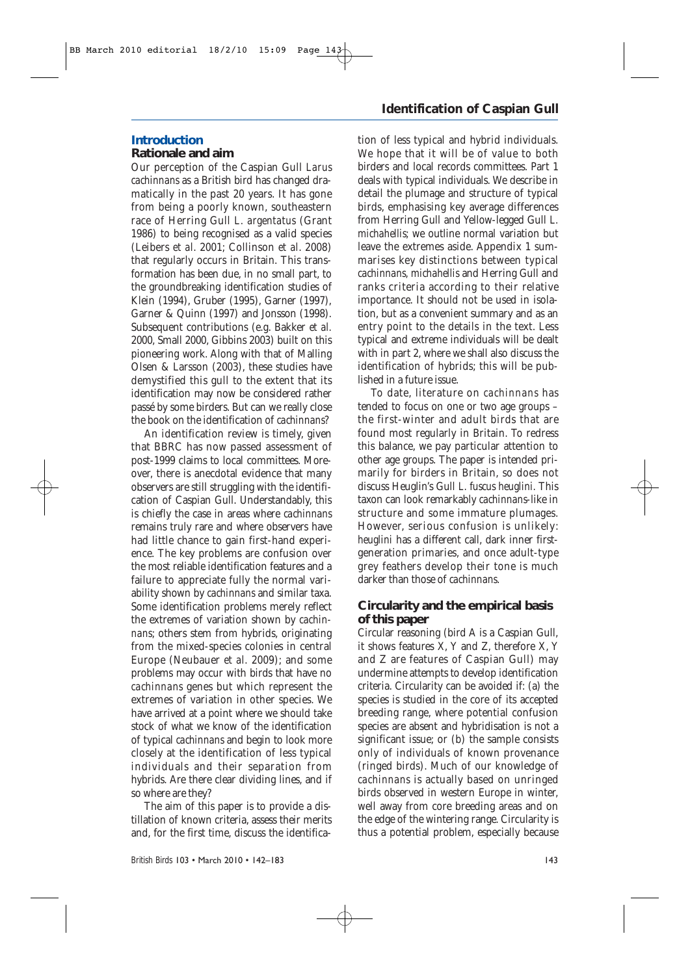### **Introduction**

### **Rationale and aim**

Our perception of the Caspian Gull *Larus cachinnans* as a British bird has changed dramatically in the past 20 years. It has gone from being a poorly known, southeastern race of Herring Gull *L. argentatus* (Grant 1986) to being recognised as a valid species (Leibers *et al*. 2001; Collinson *et al*. 2008) that regularly occurs in Britain. This transformation has been due, in no small part, to the groundbreaking identification studies of Klein (1994), Gruber (1995), Garner (1997), Garner & Quinn (1997) and Jonsson (1998). Subsequent contributions (e.g. Bakker *et al.* 2000, Small 2000, Gibbins 2003) built on this pioneering work. Along with that of Malling Olsen & Larsson (2003), these studies have demystified this gull to the extent that its identification may now be considered rather passé by some birders. But can we really close the book on the identification of *cachinnans*?

An identification review is timely, given that BBRC has now passed assessment of post-1999 claims to local committees. Moreover, there is anecdotal evidence that many observers are still struggling with the identification of Caspian Gull. Understandably, this is chiefly the case in areas where *cachinnans* remains truly rare and where observers have had little chance to gain first-hand experience. The key problems are confusion over the most reliable identification features and a failure to appreciate fully the normal variability shown by *cachinnans* and similar taxa. Some identification problems merely reflect the extremes of variation shown by *cachinnans*; others stem from hybrids, originating from the mixed-species colonies in central Europe (Neubauer *et al.* 2009); and some problems may occur with birds that have no *cachinnans* genes but which represent the extremes of variation in other species. We have arrived at a point where we should take stock of what we know of the identification of typical *cachinnans* and begin to look more closely at the identification of less typical individuals and their separation from hybrids. Are there clear dividing lines, and if so where are they?

The aim of this paper is to provide a distillation of known criteria, assess their merits and, for the first time, discuss the identifica-

### **Identification of Caspian Gull**

tion of less typical and hybrid individuals. We hope that it will be of value to both birders and local records committees. Part 1 deals with typical individuals. We describe in detail the plumage and structure of typical birds, emphasising key average differences from Herring Gull and Yellow-legged Gull *L. michahellis*; we outline normal variation but leave the extremes aside. Appendix 1 summarises key distinctions between typical *cachinnans, michahellis* and Herring Gull and ranks criteria according to their relative importance. It should not be used in isolation, but as a convenient summary and as an entry point to the details in the text. Less typical and extreme individuals will be dealt with in part 2, where we shall also discuss the identification of hybrids; this will be published in a future issue.

To date, literature on *cachinnans* has tended to focus on one or two age groups – the first-winter and adult birds that are found most regularly in Britain. To redress this balance, we pay particular attention to other age groups. The paper is intended primarily for birders in Britain, so does not discuss Heuglin's Gull *L. fuscus heuglini.* This taxon can look remarkably *cachinnans*-like in structure and some immature plumages. However, serious confusion is unlikely: *heuglini* has a different call, dark inner firstgeneration primaries, and once adult-type grey feathers develop their tone is much darker than those of *cachinnans*.

#### **Circularity and the empirical basis of this paper**

Circular reasoning (bird A is a Caspian Gull, it shows features X, Y and Z, therefore X, Y and Z are features of Caspian Gull) may undermine attempts to develop identification criteria. Circularity can be avoided if: (a) the species is studied in the core of its accepted breeding range, where potential confusion species are absent and hybridisation is not a significant issue; or (b) the sample consists only of individuals of known provenance (ringed birds). Much of our knowledge of *cachinnans* is actually based on unringed birds observed in western Europe in winter, well away from core breeding areas and on the edge of the wintering range. Circularity is thus a potential problem, especially because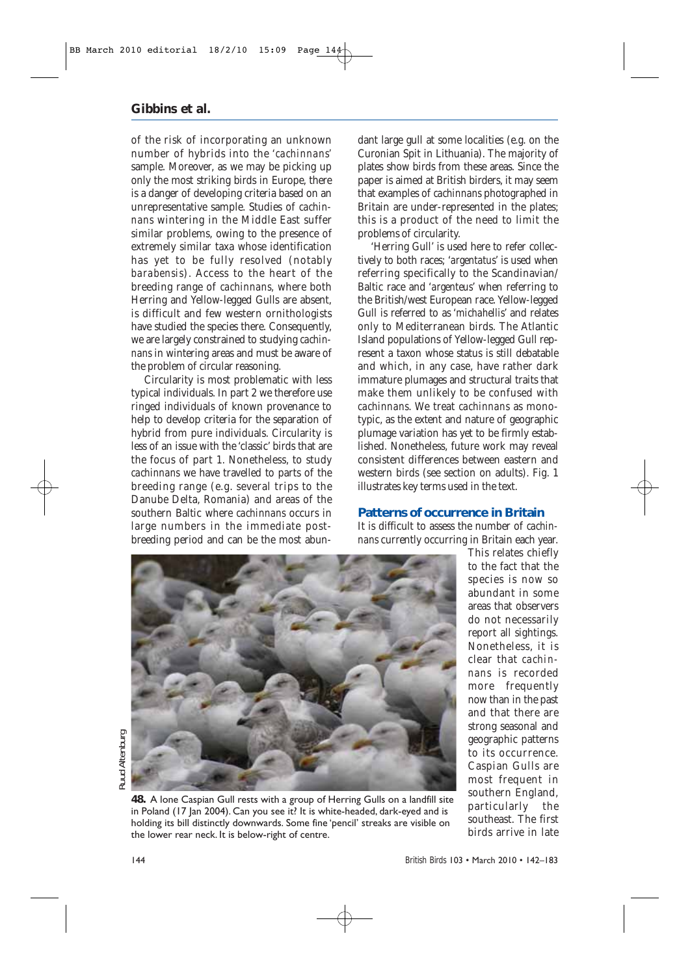of the risk of incorporating an unknown number of hybrids into the '*cachinnans'* sample. Moreover, as we may be picking up only the most striking birds in Europe, there is a danger of developing criteria based on an unrepresentative sample. Studies of *cachinnans* wintering in the Middle East suffer similar problems, owing to the presence of extremely similar taxa whose identification has yet to be fully resolved (notably *barabensis*). Access to the heart of the breeding range of *cachinnans,* where both Herring and Yellow-legged Gulls are absent, is difficult and few western ornithologists have studied the species there. Consequently, we are largely constrained to studying *cachinnans* in wintering areas and must be aware of the problem of circular reasoning.

Circularity is most problematic with less typical individuals. In part 2 we therefore use ringed individuals of known provenance to help to develop criteria for the separation of hybrid from pure individuals. Circularity is less of an issue with the 'classic' birds that are the focus of part 1. Nonetheless, to study *cachinnans* we have travelled to parts of the breeding range (e.g. several trips to the Danube Delta, Romania) and areas of the southern Baltic where *cachinnans* occurs in large numbers in the immediate postbreeding period and can be the most abundant large gull at some localities (e.g. on the Curonian Spit in Lithuania). The majority of plates show birds from these areas. Since the paper is aimed at British birders, it may seem that examples of *cachinnans* photographed in Britain are under-represented in the plates; this is a product of the need to limit the problems of circularity.

'Herring Gull' is used here to refer collectively to both races; '*argentatus*' is used when referring specifically to the Scandinavian/ Baltic race and '*argenteus*' when referring to the British/west European race. Yellow-legged Gull is referred to as '*michahellis*' and relates only to Mediterranean birds. The Atlantic Island populations of Yellow-legged Gull represent a taxon whose status is still debatable and which, in any case, have rather dark immature plumages and structural traits that make them unlikely to be confused with *cachinnans*. We treat *cachinnans* as monotypic, as the extent and nature of geographic plumage variation has yet to be firmly established. Nonetheless, future work may reveal consistent differences between eastern and western birds (see section on adults). Fig. 1 illustrates key terms used in the text.

#### **Patterns of occurrence in Britain**

It is difficult to assess the number of *cachinnans* currently occurring in Britain each year.



**48.** A lone Caspian Gull rests with a group of Herring Gulls on a landfill site in Poland (17 Jan 2004). Can you see it? It is white-headed, dark-eyed and is holding its bill distinctly downwards. Some fine 'pencil' streaks are visible on the lower rear neck. It is below-right of centre.

This relates chiefly to the fact that the species is now so abundant in some areas that observers do not necessarily report all sightings. Nonetheless, it is clear that *cachinnans* is recorded more frequently now than in the past and that there are strong seasonal and geographic patterns to its occurrence. Caspian Gulls are most frequent in southern England, particularly the southeast. The first birds arrive in late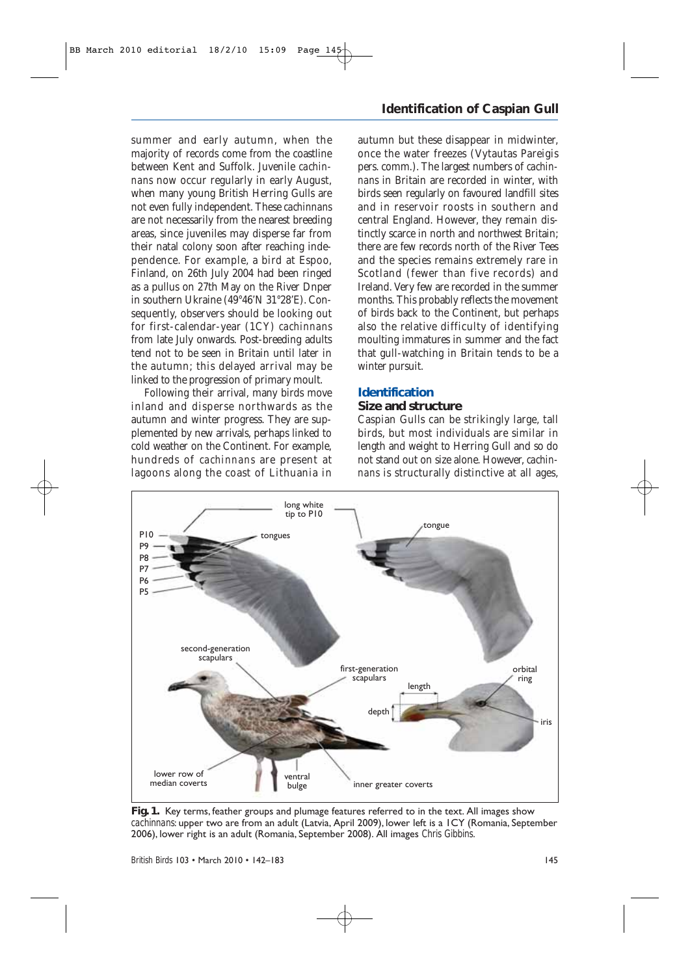summer and early autumn, when the majority of records come from the coastline between Kent and Suffolk. Juvenile *cachinnans* now occur regularly in early August, when many young British Herring Gulls are not even fully independent. These *cachinnans* are not necessarily from the nearest breeding areas, since juveniles may disperse far from their natal colony soon after reaching independence. For example, a bird at Espoo, Finland, on 26th July 2004 had been ringed as a pullus on 27th May on the River Dnper in southern Ukraine (49°46'N 31°28'E). Consequently, observers should be looking out for first-calendar-year (1CY) *cachinnans* from late July onwards. Post-breeding adults tend not to be seen in Britain until later in the autumn; this delayed arrival may be linked to the progression of primary moult.

Following their arrival, many birds move inland and disperse northwards as the autumn and winter progress. They are supplemented by new arrivals, perhaps linked to cold weather on the Continent. For example, hundreds of *cachinnans* are present at lagoons along the coast of Lithuania in

### **Identification of Caspian Gull**

autumn but these disappear in midwinter, once the water freezes (Vytautas Pareigis pers. comm.). The largest numbers of *cachinnans* in Britain are recorded in winter, with birds seen regularly on favoured landfill sites and in reservoir roosts in southern and central England. However, they remain distinctly scarce in north and northwest Britain; there are few records north of the River Tees and the species remains extremely rare in Scotland (fewer than five records) and Ireland. Very few are recorded in the summer months. This probably reflects the movement of birds back to the Continent, but perhaps also the relative difficulty of identifying moulting immatures in summer and the fact that gull-watching in Britain tends to be a winter pursuit.

#### **Identification**

#### **Size and structure**

Caspian Gulls can be strikingly large, tall birds, but most individuals are similar in length and weight to Herring Gull and so do not stand out on size alone. However, *cachinnans* is structurally distinctive at all ages,



**Fig. 1.** Key terms, feather groups and plumage features referred to in the text. All images show *cachinnans*: upper two are from an adult (Latvia, April 2009), lower left is a 1CY (Romania, September 2006), lower right is an adult (Romania, September 2008). All images *Chris Gibbins*.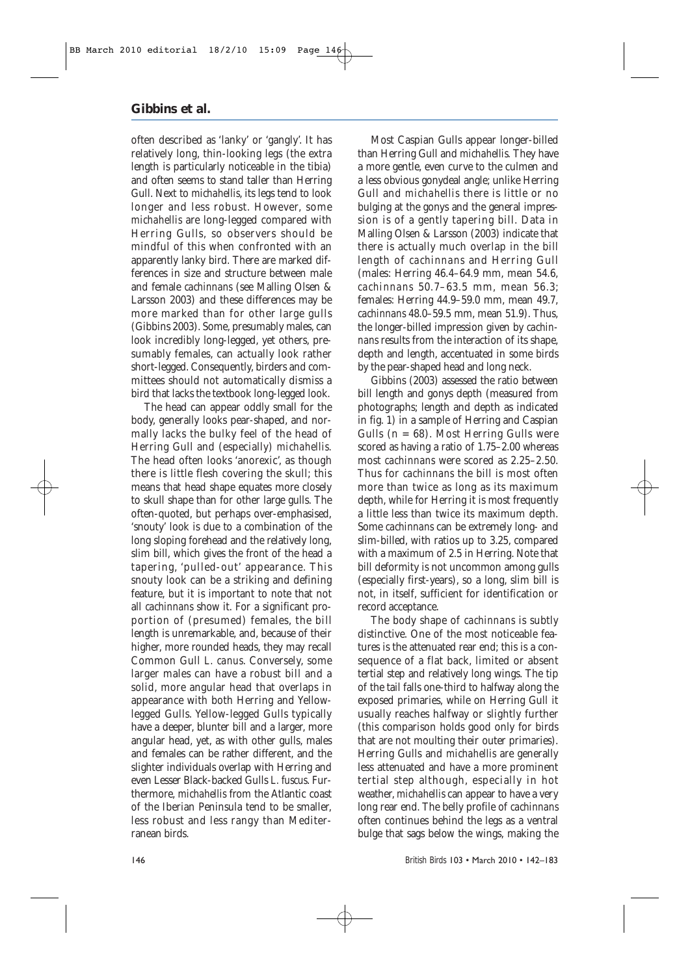often described as 'lanky' or 'gangly'. It has relatively long, thin-looking legs (the extra length is particularly noticeable in the tibia) and often seems to stand taller than Herring Gull. Next to *michahellis*, its legs tend to look longer and less robust. However, some *michahellis* are long-legged compared with Herring Gulls, so observers should be mindful of this when confronted with an apparently lanky bird. There are marked differences in size and structure between male and female *cachinnans* (see Malling Olsen & Larsson 2003) and these differences may be more marked than for other large gulls (Gibbins 2003). Some, presumably males, can look incredibly long-legged, yet others, presumably females, can actually look rather short-legged. Consequently, birders and committees should not automatically dismiss a bird that lacks the textbook long-legged look.

The head can appear oddly small for the body, generally looks pear-shaped, and normally lacks the bulky feel of the head of Herring Gull and (especially) *michahellis.* The head often looks 'anorexic', as though there is little flesh covering the skull; this means that head shape equates more closely to skull shape than for other large gulls. The often-quoted, but perhaps over-emphasised, 'snouty' look is due to a combination of the long sloping forehead and the relatively long, slim bill, which gives the front of the head a tapering, 'pulled-out' appearance. This snouty look can be a striking and defining feature, but it is important to note that not all *cachinnans* show it. For a significant proportion of (presumed) females, the bill length is unremarkable, and, because of their higher, more rounded heads, they may recall Common Gull *L. canus*. Conversely, some larger males can have a robust bill and a solid, more angular head that overlaps in appearance with both Herring and Yellowlegged Gulls. Yellow-legged Gulls typically have a deeper, blunter bill and a larger, more angular head, yet, as with other gulls, males and females can be rather different, and the slighter individuals overlap with Herring and even Lesser Black-backed Gulls *L. fuscus*. Furthermore, *michahellis* from the Atlantic coast of the Iberian Peninsula tend to be smaller, less robust and less rangy than Mediterranean birds.

Most Caspian Gulls appear longer-billed than Herring Gull and *michahellis.* They have a more gentle, even curve to the culmen and a less obvious gonydeal angle; unlike Herring Gull and *michahellis* there is little or no bulging at the gonys and the general impression is of a gently tapering bill. Data in Malling Olsen & Larsson (2003) indicate that there is actually much overlap in the bill length of *cachinnans* and Herring Gull (males: Herring 46.4–64.9 mm, mean 54.6, *cachinnans* 50.7–63.5 mm, mean 56.3; females: Herring 44.9–59.0 mm, mean 49.7, *cachinnans* 48.0–59.5 mm, mean 51.9). Thus, the longer-billed impression given by *cachinnans* results from the interaction of its shape, depth and length, accentuated in some birds by the pear-shaped head and long neck.

Gibbins (2003) assessed the ratio between bill length and gonys depth (measured from photographs; length and depth as indicated in fig. 1) in a sample of Herring and Caspian Gulls  $(n = 68)$ . Most Herring Gulls were scored as having a ratio of 1.75–2.00 whereas most *cachinnans* were scored as 2.25–2.50. Thus for *cachinnans* the bill is most often more than twice as long as its maximum depth, while for Herring it is most frequently a little less than twice its maximum depth. Some *cachinnans* can be extremely long- and slim-billed, with ratios up to 3.25, compared with a maximum of 2.5 in Herring. Note that bill deformity is not uncommon among gulls (especially first-years), so a long, slim bill is not, in itself, sufficient for identification or record acceptance.

The body shape of *cachinnans* is subtly distinctive. One of the most noticeable features is the attenuated rear end; this is a consequence of a flat back, limited or absent tertial step and relatively long wings. The tip of the tail falls one-third to halfway along the exposed primaries, while on Herring Gull it usually reaches halfway or slightly further (this comparison holds good only for birds that are not moulting their outer primaries). Herring Gulls and *michahellis* are generally less attenuated and have a more prominent tertial step although, especially in hot weather, *michahellis* can appear to have a very long rear end. The belly profile of *cachinnans* often continues behind the legs as a ventral bulge that sags below the wings, making the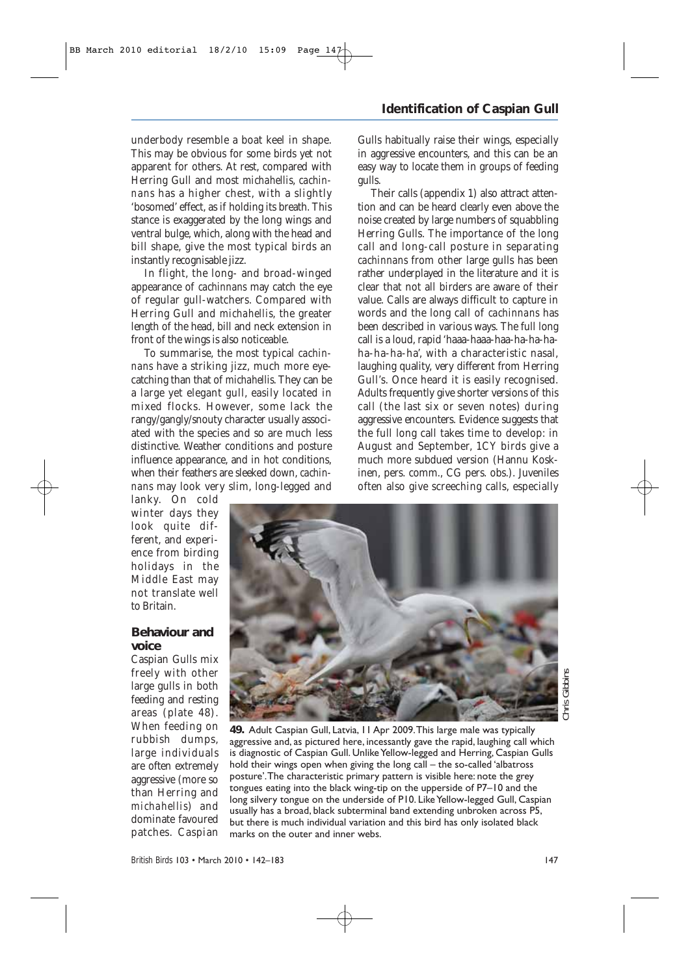underbody resemble a boat keel in shape. This may be obvious for some birds yet not apparent for others. At rest, compared with Herring Gull and most *michahellis*, *cachinnans* has a higher chest, with a slightly 'bosomed' effect, as if holding its breath. This stance is exaggerated by the long wings and ventral bulge, which, along with the head and bill shape, give the most typical birds an instantly recognisable jizz.

In flight, the long- and broad-winged appearance of *cachinnans* may catch the eye of regular gull-watchers. Compared with Herring Gull and *michahellis*, the greater length of the head, bill and neck extension in front of the wings is also noticeable.

To summarise, the most typical *cachinnans* have a striking jizz, much more eyecatching than that of *michahellis*. They can be a large yet elegant gull, easily located in mixed flocks. However, some lack the rangy/gangly/snouty character usually associated with the species and so are much less distinctive. Weather conditions and posture influence appearance, and in hot conditions, when their feathers are sleeked down, *cachinnans* may look very slim, long-legged and

lanky. On cold winter days they look quite different, and experience from birding holidays in the Middle East may not translate well to Britain.

#### **Behaviour and voice**

Caspian Gulls mix freely with other large gulls in both feeding and resting areas (plate 48). When feeding on rubbish dumps, large individuals are often extremely aggressive (more so than Herring and *michahellis*) and dominate favoured patches. Caspian

### **Identification of Caspian Gull**

Gulls habitually raise their wings, especially in aggressive encounters, and this can be an easy way to locate them in groups of feeding gulls.

Their calls (appendix 1) also attract attention and can be heard clearly even above the noise created by large numbers of squabbling Herring Gulls. The importance of the long call and long-call posture in separating *cachinnans* from other large gulls has been rather underplayed in the literature and it is clear that not all birders are aware of their value. Calls are always difficult to capture in words and the long call of *cachinnans* has been described in various ways. The full long call is a loud, rapid 'haaa-haaa-haa-ha-ha-haha-ha-ha-ha', with a characteristic nasal, laughing quality, very different from Herring Gull's. Once heard it is easily recognised. Adults frequently give shorter versions of this call (the last six or seven notes) during aggressive encounters. Evidence suggests that the full long call takes time to develop: in August and September, 1CY birds give a much more subdued version (Hannu Koskinen, pers. comm., CG pers. obs.). Juveniles often also give screeching calls, especially



*Chris Gibbins* Gibbir Chris

**49.** Adult Caspian Gull, Latvia, 11 Apr 2009.This large male was typically aggressive and, as pictured here, incessantly gave the rapid, laughing call which is diagnostic of Caspian Gull. Unlike Yellow-legged and Herring, Caspian Gulls hold their wings open when giving the long call – the so-called 'albatross posture'.The characteristic primary pattern is visible here: note the grey tongues eating into the black wing-tip on the upperside of P7–10 and the long silvery tongue on the underside of P10. Like Yellow-legged Gull, Caspian usually has a broad, black subterminal band extending unbroken across P5, but there is much individual variation and this bird has only isolated black marks on the outer and inner webs.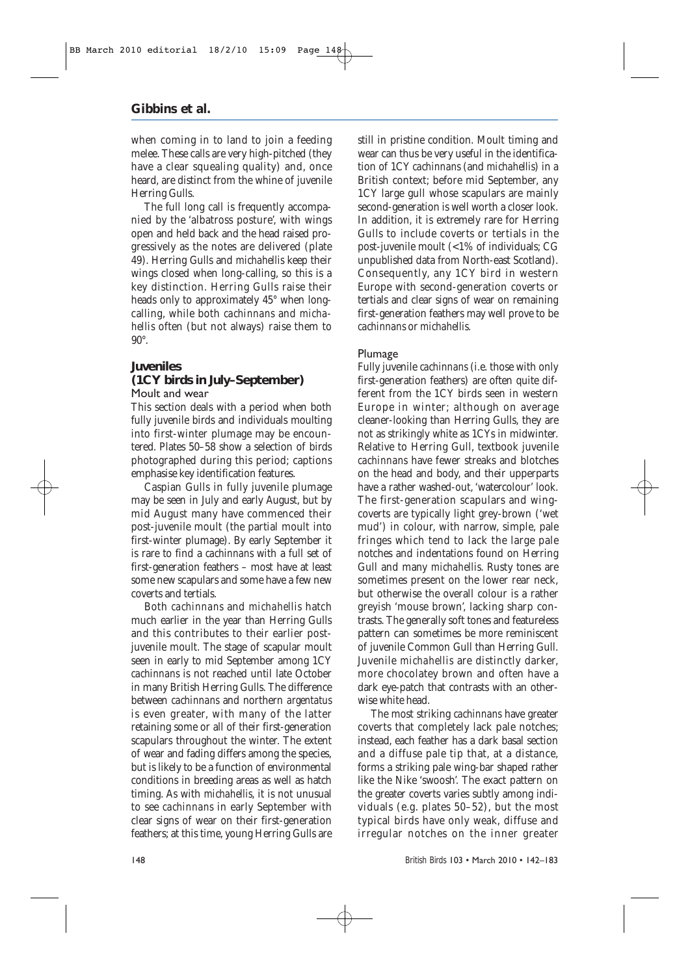when coming in to land to join a feeding melee. These calls are very high-pitched (they have a clear squealing quality) and, once heard, are distinct from the whine of juvenile Herring Gulls.

The full long call is frequently accompanied by the 'albatross posture', with wings open and held back and the head raised progressively as the notes are delivered (plate 49). Herring Gulls and *michahellis* keep their wings closed when long-calling, so this is a key distinction. Herring Gulls raise their heads only to approximately 45° when longcalling, while both *cachinnans* and *michahellis* often (but not always) raise them to  $90^\circ$ 

### **Juveniles**

#### **(1CY birds in July–September)** Moult and wear

This section deals with a period when both fully juvenile birds and individuals moulting into first-winter plumage may be encountered. Plates 50–58 show a selection of birds photographed during this period; captions emphasise key identification features.

Caspian Gulls in fully juvenile plumage may be seen in July and early August, but by mid August many have commenced their post-juvenile moult (the partial moult into first-winter plumage). By early September it is rare to find a *cachinnans* with a full set of first-generation feathers – most have at least some new scapulars and some have a few new coverts and tertials.

Both *cachinnans* and *michahellis* hatch much earlier in the year than Herring Gulls and this contributes to their earlier postjuvenile moult. The stage of scapular moult seen in early to mid September among 1CY *cachinnans* is not reached until late October in many British Herring Gulls. The difference between *cachinnans* and northern *argentatus* is even greater, with many of the latter retaining some or all of their first-generation scapulars throughout the winter. The extent of wear and fading differs among the species, but is likely to be a function of environmental conditions in breeding areas as well as hatch timing. As with *michahellis*, it is not unusual to see *cachinnans* in early September with clear signs of wear on their first-generation feathers; at this time, young Herring Gulls are still in pristine condition. Moult timing and wear can thus be very useful in the identification of 1CY *cachinnans* (and *michahellis*) in a British context; before mid September, any 1CY large gull whose scapulars are mainly second-generation is well worth a closer look. In addition, it is extremely rare for Herring Gulls to include coverts or tertials in the post-juvenile moult (<1% of individuals; CG unpublished data from North-east Scotland). Consequently, any 1CY bird in western Europe with second-generation coverts or tertials and clear signs of wear on remaining first-generation feathers may well prove to be *cachinnans* or *michahellis.*

#### Plumage

Fully juvenile *cachinnans* (i.e. those with only first-generation feathers) are often quite different from the 1CY birds seen in western Europe in winter; although on average cleaner-looking than Herring Gulls, they are not as strikingly white as 1CYs in midwinter. Relative to Herring Gull, textbook juvenile *cachinnans* have fewer streaks and blotches on the head and body, and their upperparts have a rather washed-out, 'watercolour' look. The first-generation scapulars and wingcoverts are typically light grey-brown ('wet mud') in colour, with narrow, simple, pale fringes which tend to lack the large pale notches and indentations found on Herring Gull and many *michahellis*. Rusty tones are sometimes present on the lower rear neck, but otherwise the overall colour is a rather greyish 'mouse brown', lacking sharp contrasts. The generally soft tones and featureless pattern can sometimes be more reminiscent of juvenile Common Gull than Herring Gull. Juvenile *michahellis* are distinctly darker, more chocolatey brown and often have a dark eye-patch that contrasts with an otherwise white head.

The most striking *cachinnans* have greater coverts that completely lack pale notches; instead, each feather has a dark basal section and a diffuse pale tip that, at a distance, forms a striking pale wing-bar shaped rather like the Nike 'swoosh'. The exact pattern on the greater coverts varies subtly among individuals (e.g. plates 50–52), but the most typical birds have only weak, diffuse and irregular notches on the inner greater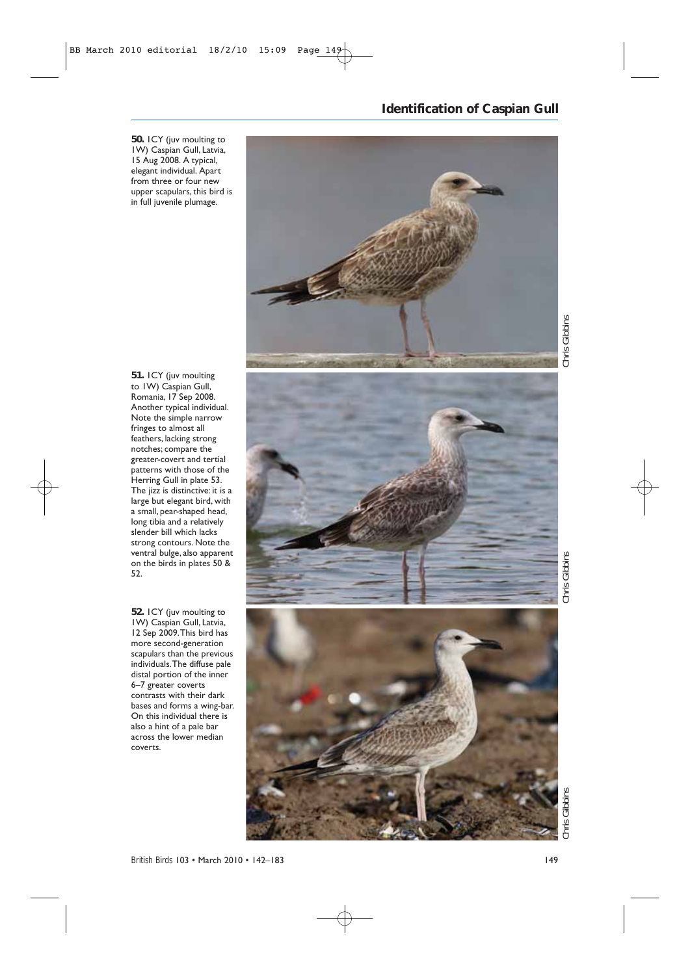**50.** 1CY (juv moulting to 1W) Caspian Gull, Latvia, 15 Aug 2008. A typical, elegant individual. Apart from three or four new upper scapulars, this bird is in full juvenile plumage.

> Chris Gibbins *Chris Gibbins Chris Gibbins Chris Gibbins*

**51.** 1CY (juv moulting to 1W) Caspian Gull, Romania, 17 Sep 2008. Another typical individual. Note the simple narrow fringes to almost all feathers, lacking strong notches; compare the greater-covert and tertial patterns with those of the Herring Gull in plate 53. The jizz is distinctive: it is a large but elegant bird, with a small, pear-shaped head, long tibia and a relatively slender bill which lacks strong contours. Note the ventral bulge, also apparent on the birds in plates 50 & 52.

**52.** 1CY (juv moulting to 1W) Caspian Gull, Latvia, 12 Sep 2009.This bird has more second-generation scapulars than the previous individuals.The diffuse pale distal portion of the inner 6–7 greater coverts contrasts with their dark bases and forms a wing-bar. On this individual there is also a hint of a pale bar across the lower median coverts.



**Identification of Caspian Gull**



Chris Gibbins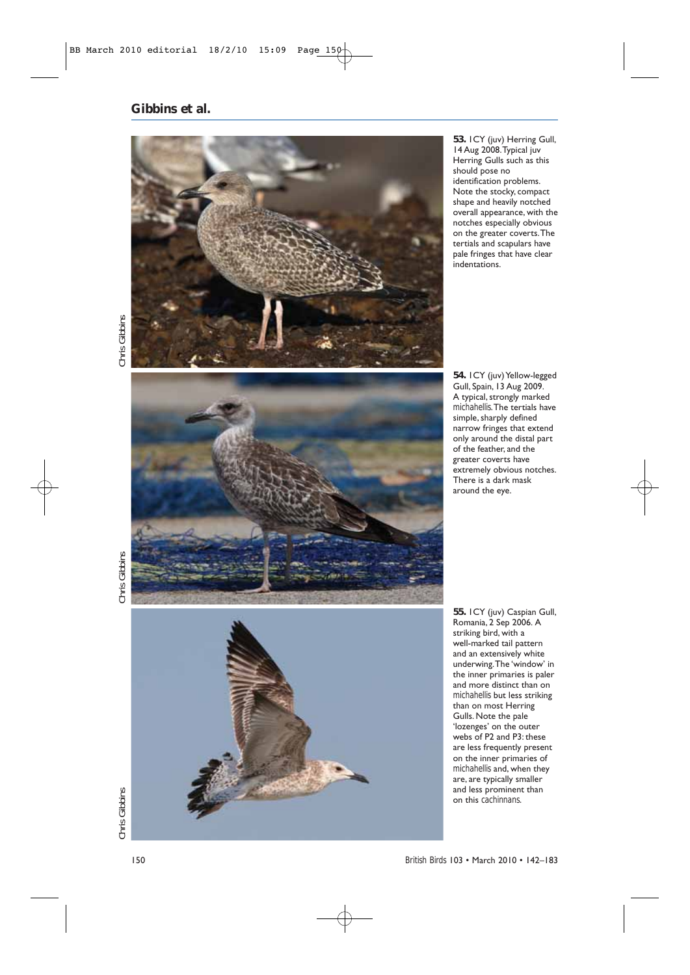

**53.** 1CY (juv) Herring Gull, 14 Aug 2008.Typical juv Herring Gulls such as this should pose no identification problems. Note the stocky, compact shape and heavily notched overall appearance, with the notches especially obvious on the greater coverts.The tertials and scapulars have pale fringes that have clear indentations.

Chris Gibbins



**54.** 1CY (juv) Yellow-legged Gull, Spain, 13 Aug 2009. A typical, strongly marked *michahellis*.The tertials have simple, sharply defined narrow fringes that extend only around the distal part of the feather, and the greater coverts have extremely obvious notches. There is a dark mask around the eye.

*Chris Gibbins Chris Gibbins Chris Gibbins* Chris Gibbins



**55.** 1CY (juv) Caspian Gull, Romania, 2 Sep 2006. A striking bird, with a well-marked tail pattern and an extensively white underwing.The 'window' in the inner primaries is paler and more distinct than on *michahellis* but less striking than on most Herring Gulls. Note the pale 'lozenges' on the outer webs of P2 and P3: these are less frequently present on the inner primaries of *michahellis* and, when they are, are typically smaller and less prominent than on this *cachinnans*.

*British Birds* 103 • March 2010 • 142–183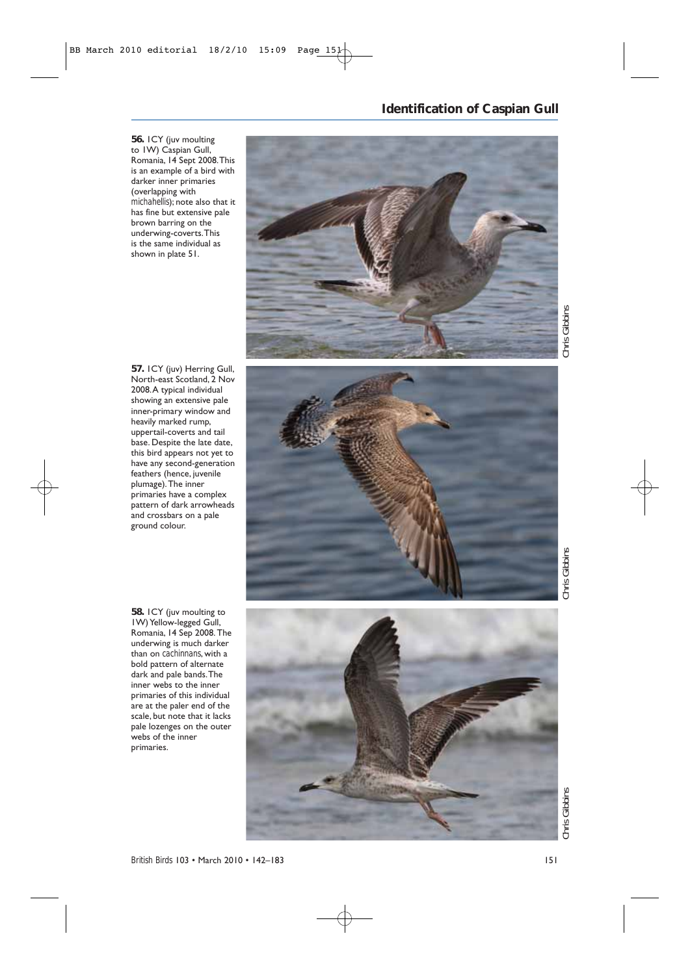#### **56.** 1CY (juv moulting to 1W) Caspian Gull, Romania, 14 Sept 2008.This is an example of a bird with darker inner primaries (overlapping with *michahellis*); note also that it has fine but extensive pale brown barring on the underwing-coverts.This is the same individual as shown in plate 51.



**Identification of Caspian Gull**

Gibbins *Chris Gibbins Chris Gibbins Chris Gibbins* Chris C

**57.** 1CY (juv) Herring Gull, North-east Scotland, 2 Nov 2008.A typical individual showing an extensive pale inner-primary window and heavily marked rump, uppertail-coverts and tail base. Despite the late date, this bird appears not yet to have any second-generation feathers (hence, juvenile plumage).The inner primaries have a complex pattern of dark arrowheads and crossbars on a pale ground colour.

**58.** 1CY (juv moulting to 1W) Yellow-legged Gull, Romania, 14 Sep 2008. The underwing is much darker than on *cachinnans*, with a bold pattern of alternate dark and pale bands.The inner webs to the inner primaries of this individual are at the paler end of the scale, but note that it lacks pale lozenges on the outer webs of the inner primaries.



**Chris Gibbins**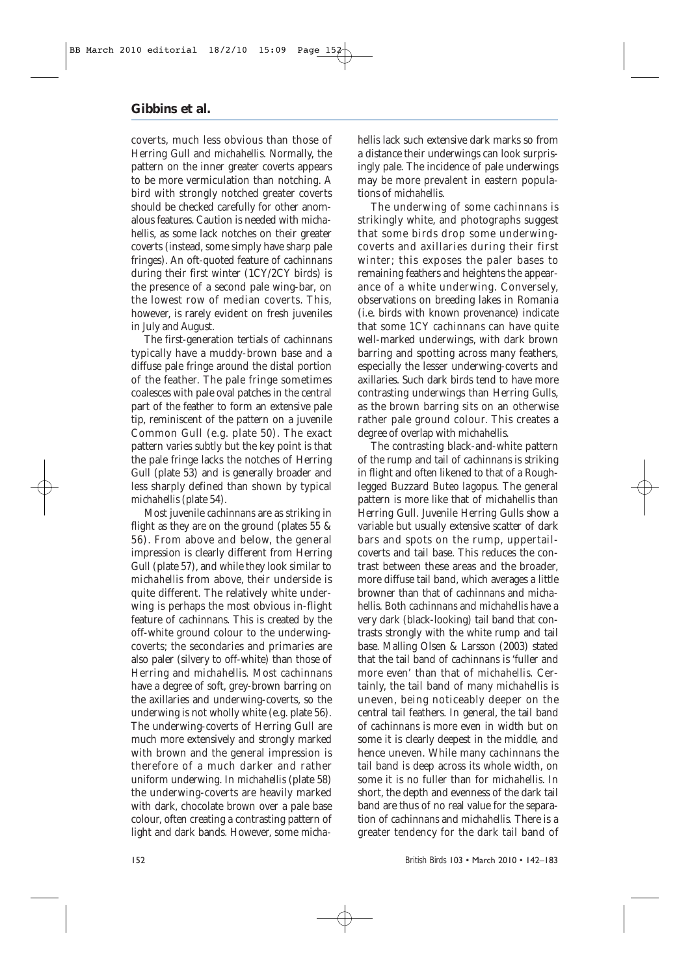coverts, much less obvious than those of Herring Gull and *michahellis*. Normally, the pattern on the inner greater coverts appears to be more vermiculation than notching. A bird with strongly notched greater coverts should be checked carefully for other anomalous features. Caution is needed with *michahellis*, as some lack notches on their greater coverts (instead, some simply have sharp pale fringes). An oft-quoted feature of *cachinnans* during their first winter (1CY/2CY birds) is the presence of a second pale wing-bar, on the lowest row of median coverts. This, however, is rarely evident on fresh juveniles in July and August.

The first-generation tertials of *cachinnans* typically have a muddy-brown base and a diffuse pale fringe around the distal portion of the feather. The pale fringe sometimes coalesces with pale oval patches in the central part of the feather to form an extensive pale tip, reminiscent of the pattern on a juvenile Common Gull (e.g. plate 50). The exact pattern varies subtly but the key point is that the pale fringe lacks the notches of Herring Gull (plate 53) and is generally broader and less sharply defined than shown by typical *michahellis* (plate 54).

Most juvenile *cachinnans* are as striking in flight as they are on the ground (plates 55 & 56). From above and below, the general impression is clearly different from Herring Gull (plate 57), and while they look similar to *michahellis* from above, their underside is quite different. The relatively white underwing is perhaps the most obvious in-flight feature of *cachinnans*. This is created by the off-white ground colour to the underwingcoverts; the secondaries and primaries are also paler (silvery to off-white) than those of Herring and *michahellis.* Most *cachinnans* have a degree of soft, grey-brown barring on the axillaries and underwing-coverts, so the underwing is not wholly white (e.g. plate 56). The underwing-coverts of Herring Gull are much more extensively and strongly marked with brown and the general impression is therefore of a much darker and rather uniform underwing. In *michahellis* (plate 58) the underwing-coverts are heavily marked with dark, chocolate brown over a pale base colour, often creating a contrasting pattern of light and dark bands. However, some *micha-* *hellis* lack such extensive dark marks so from a distance their underwings can look surprisingly pale. The incidence of pale underwings may be more prevalent in eastern populations of *michahellis*.

The underwing of some *cachinnans* is strikingly white, and photographs suggest that some birds drop some underwingcoverts and axillaries during their first winter; this exposes the paler bases to remaining feathers and heightens the appearance of a white underwing. Conversely, observations on breeding lakes in Romania (i.e. birds with known provenance) indicate that some 1CY *cachinnans* can have quite well-marked underwings, with dark brown barring and spotting across many feathers, especially the lesser underwing-coverts and axillaries. Such dark birds tend to have more contrasting underwings than Herring Gulls, as the brown barring sits on an otherwise rather pale ground colour. This creates a degree of overlap with *michahellis*.

The contrasting black-and-white pattern of the rump and tail of *cachinnans* is striking in flight and often likened to that of a Roughlegged Buzzard *Buteo lagopus*. The general pattern is more like that of *michahellis* than Herring Gull. Juvenile Herring Gulls show a variable but usually extensive scatter of dark bars and spots on the rump, uppertailcoverts and tail base. This reduces the contrast between these areas and the broader, more diffuse tail band, which averages a little browner than that of *cachinnans* and *michahellis*. Both *cachinnans* and *michahellis* have a very dark (black-looking) tail band that contrasts strongly with the white rump and tail base. Malling Olsen & Larsson (2003) stated that the tail band of *cachinnans* is 'fuller and more even*'* than that of *michahellis.* Certainly, the tail band of many *michahellis* is uneven, being noticeably deeper on the central tail feathers. In general, the tail band of *cachinnans is* more even in width but on some it is clearly deepest in the middle, and hence uneven. While many *cachinnans* the tail band is deep across its whole width, on some it is no fuller than for *michahellis*. In short, the depth and evenness of the dark tail band are thus of no real value for the separation of *cachinnans* and *michahellis.* There is a greater tendency for the dark tail band of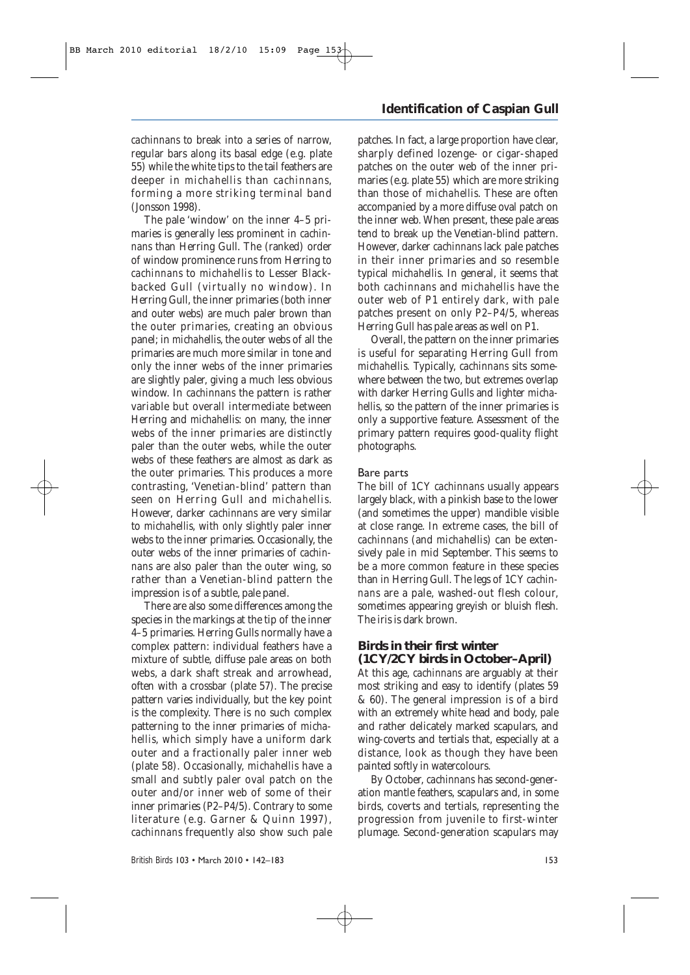*cachinnans* to break into a series of narrow, regular bars along its basal edge (e.g. plate 55) while the white tips to the tail feathers are deeper in *michahellis* than *cachinnans*, forming a more striking terminal band (Jonsson 1998).

The pale 'window' on the inner 4–5 primaries is generally less prominent in *cachinnans* than Herring Gull. The (ranked) order of window prominence runs from Herring to *cachinnans* to *michahellis* to Lesser Blackbacked Gull (virtually no window). In Herring Gull, the inner primaries (both inner and outer webs) are much paler brown than the outer primaries, creating an obvious panel; in *michahellis*, the outer webs of all the primaries are much more similar in tone and only the inner webs of the inner primaries are slightly paler, giving a much less obvious window. In *cachinnans* the pattern is rather variable but overall intermediate between Herring and *michahellis*: on many, the inner webs of the inner primaries are distinctly paler than the outer webs, while the outer webs of these feathers are almost as dark as the outer primaries. This produces a more contrasting, 'Venetian-blind' pattern than seen on Herring Gull and *michahellis*. However, darker *cachinnans* are very similar to *michahellis*, with only slightly paler inner webs to the inner primaries. Occasionally, the outer webs of the inner primaries of *cachinnans* are also paler than the outer wing, so rather than a Venetian-blind pattern the impression is of a subtle, pale panel.

There are also some differences among the species in the markings at the tip of the inner 4–5 primaries. Herring Gulls normally have a complex pattern: individual feathers have a mixture of subtle, diffuse pale areas on both webs, a dark shaft streak and arrowhead, often with a crossbar (plate 57). The precise pattern varies individually, but the key point is the complexity. There is no such complex patterning to the inner primaries of *michahellis*, which simply have a uniform dark outer and a fractionally paler inner web (plate 58). Occasionally, *michahellis* have a small and subtly paler oval patch on the outer and/or inner web of some of their inner primaries (P2–P4/5). Contrary to some literature (e.g. Garner & Quinn 1997), *cachinnans* frequently also show such pale

### **Identification of Caspian Gull**

patches. In fact, a large proportion have clear, sharply defined lozenge- or cigar-shaped patches on the outer web of the inner primaries (e.g. plate 55) which are more striking than those of *michahellis*. These are often accompanied by a more diffuse oval patch on the inner web. When present, these pale areas tend to break up the Venetian-blind pattern. However, darker *cachinnans* lack pale patches in their inner primaries and so resemble typical *michahellis*. In general, it seems that both *cachinnans* and *michahellis* have the outer web of P1 entirely dark, with pale patches present on only P2–P4/5, whereas Herring Gull has pale areas as well on P1.

Overall, the pattern on the inner primaries is useful for separating Herring Gull from *michahellis.* Typically, *cachinnans* sits somewhere between the two, but extremes overlap with darker Herring Gulls and lighter *michahellis*, so the pattern of the inner primaries is only a supportive feature. Assessment of the primary pattern requires good-quality flight photographs.

#### Bare parts

The bill of 1CY *cachinnans* usually appears largely black, with a pinkish base to the lower (and sometimes the upper) mandible visible at close range. In extreme cases, the bill of *cachinnans* (and *michahellis*) can be extensively pale in mid September. This seems to be a more common feature in these species than in Herring Gull. The legs of 1CY *cachinnans* are a pale, washed-out flesh colour, sometimes appearing greyish or bluish flesh. The iris is dark brown.

#### **Birds in their first winter (1CY/2CY birds in October–April)**

At this age, *cachinnans* are arguably at their most striking and easy to identify (plates 59 & 60). The general impression is of a bird with an extremely white head and body, pale and rather delicately marked scapulars, and wing-coverts and tertials that, especially at a distance, look as though they have been painted softly in watercolours.

By October, *cachinnans* has second-generation mantle feathers, scapulars and, in some birds, coverts and tertials, representing the progression from juvenile to first-winter plumage. Second-generation scapulars may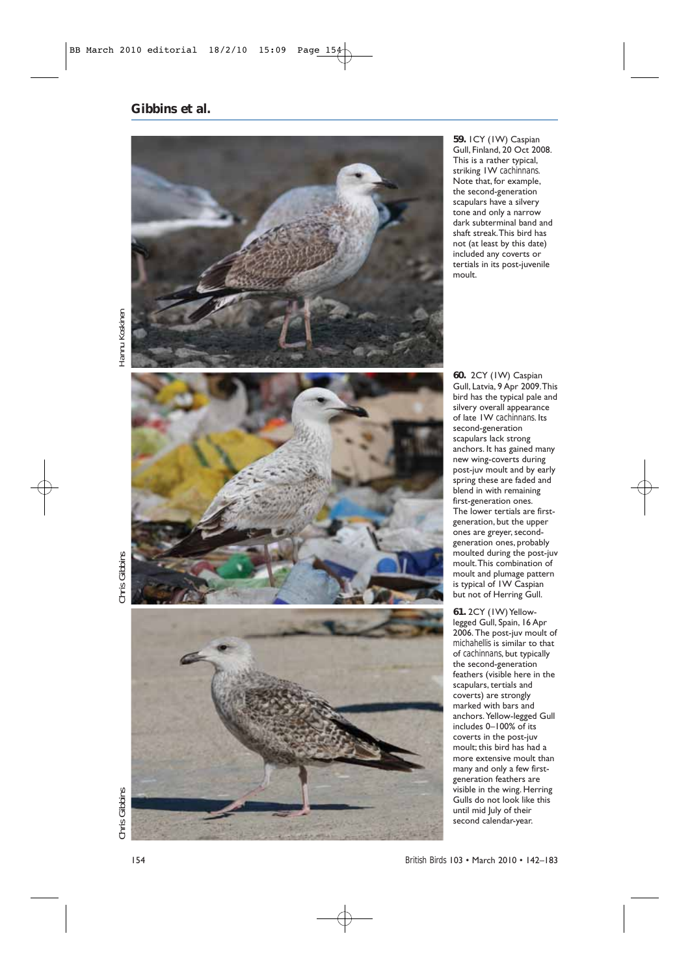

**59.** 1CY (1W) Caspian Gull, Finland, 20 Oct 2008. This is a rather typical, striking 1W *cachinnans*. Note that, for example, the second-generation scapulars have a silvery tone and only a narrow dark subterminal band and shaft streak.This bird has not (at least by this date) included any coverts or tertials in its post-juvenile moult.

Hannu Koskinen *Chris Gibbins Chris Gibbins Hannu Koskinen*

Chris Gibbins





**60.** 2CY (1W) Caspian Gull, Latvia, 9 Apr 2009.This bird has the typical pale and silvery overall appearance of late 1W *cachinnans*. Its second-generation scapulars lack strong anchors. It has gained many new wing-coverts during post-juv moult and by early spring these are faded and blend in with remaining first-generation ones. The lower tertials are firstgeneration, but the upper ones are greyer, secondgeneration ones, probably moulted during the post-juv moult.This combination of moult and plumage pattern is typical of 1W Caspian but not of Herring Gull.

**61.** 2CY (1W) Yellowlegged Gull, Spain, 16 Apr 2006. The post-juv moult of *michahellis* is similar to that of *cachinnans*, but typically the second-generation feathers (visible here in the scapulars, tertials and coverts) are strongly marked with bars and anchors.Yellow-legged Gull includes 0–100% of its coverts in the post-juv moult; this bird has had a more extensive moult than many and only a few firstgeneration feathers are visible in the wing. Herring Gulls do not look like this until mid July of their second calendar-year.

*British Birds* 103 • March 2010 • 142–183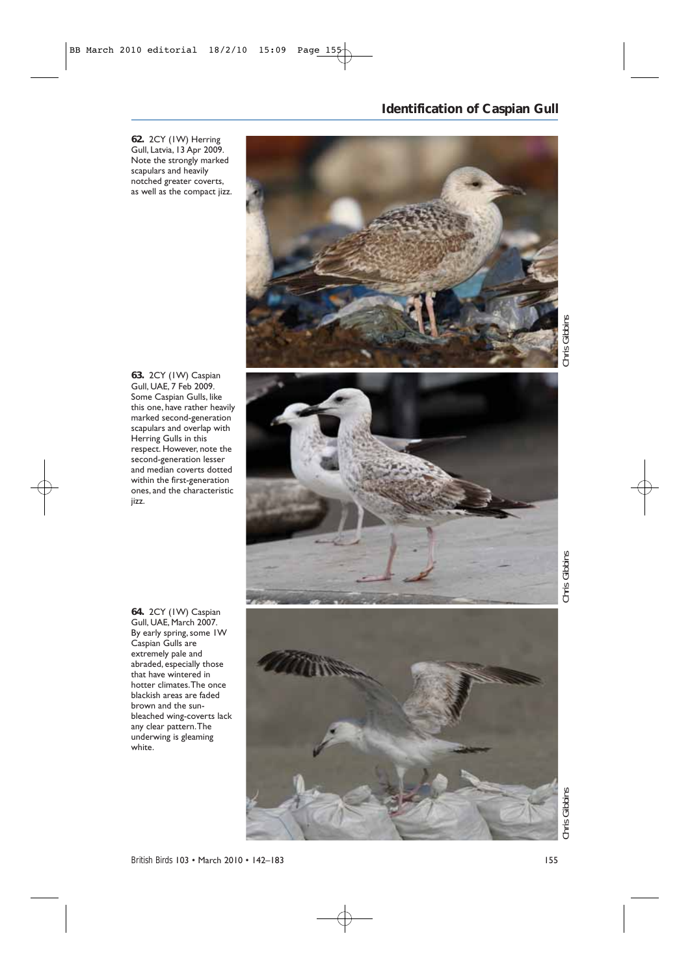**62.** 2CY (1W) Herring Gull, Latvia, 13 Apr 2009. Note the strongly marked scapulars and heavily notched greater coverts, as well as the compact jizz.

### **Identification of Caspian Gull**

Chris Gibbins *Chris Gibbins Chris Gibbins Chris Gibbins*

**63.** 2CY (1W) Caspian Gull, UAE, 7 Feb 2009. Some Caspian Gulls, like this one, have rather heavily marked second-generation scapulars and overlap with Herring Gulls in this respect. However, note the second-generation lesser and median coverts dotted within the first-generation ones, and the characteristic jizz.



Chris Gibbins

**64.** 2CY (1W) Caspian Gull, UAE, March 2007. By early spring, some 1W Caspian Gulls are extremely pale and abraded, especially those that have wintered in hotter climates.The once blackish areas are faded brown and the sunbleached wing-coverts lack any clear pattern.The underwing is gleaming white.

Chris Gibbins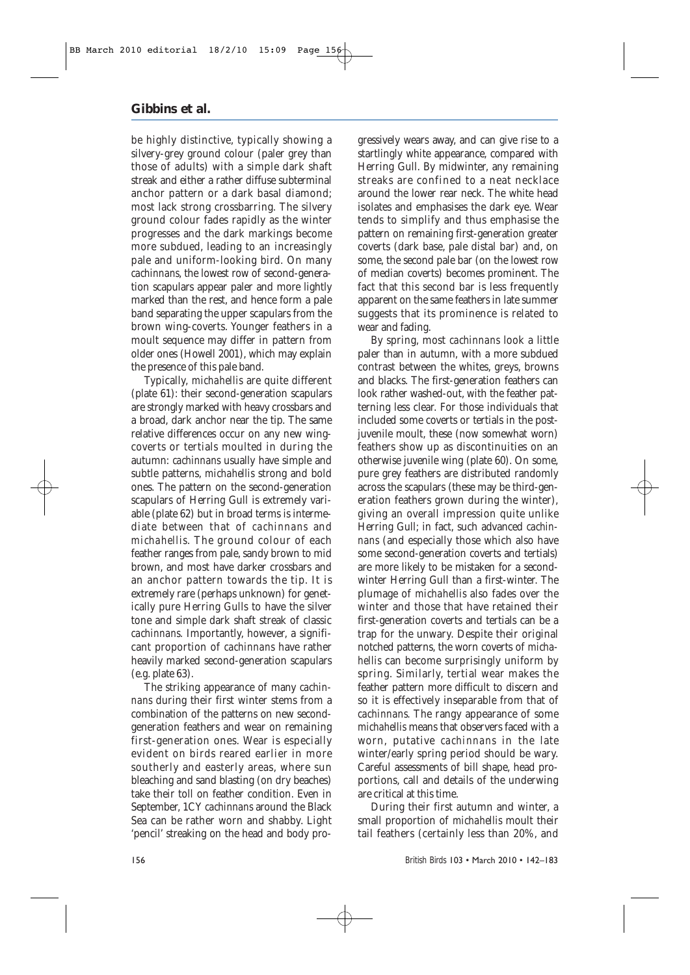be highly distinctive, typically showing a silvery-grey ground colour (paler grey than those of adults) with a simple dark shaft streak and either a rather diffuse subterminal anchor pattern or a dark basal diamond; most lack strong crossbarring. The silvery ground colour fades rapidly as the winter progresses and the dark markings become more subdued, leading to an increasingly pale and uniform-looking bird. On many *cachinnans*, the lowest row of second-generation scapulars appear paler and more lightly marked than the rest, and hence form a pale band separating the upper scapulars from the brown wing-coverts. Younger feathers in a moult sequence may differ in pattern from older ones (Howell 2001), which may explain the presence of this pale band.

Typically, *michahellis* are quite different (plate 61): their second-generation scapulars are strongly marked with heavy crossbars and a broad, dark anchor near the tip. The same relative differences occur on any new wingcoverts or tertials moulted in during the autumn: *cachinnans* usually have simple and subtle patterns, *michahellis* strong and bold ones. The pattern on the second-generation scapulars of Herring Gull is extremely variable (plate 62) but in broad terms is intermediate between that of *cachinnans* and *michahellis*. The ground colour of each feather ranges from pale, sandy brown to mid brown, and most have darker crossbars and an anchor pattern towards the tip. It is extremely rare (perhaps unknown) for genetically pure Herring Gulls to have the silver tone and simple dark shaft streak of classic *cachinnans.* Importantly, however, a significant proportion of *cachinnans* have rather heavily marked second-generation scapulars (e.g. plate 63).

The striking appearance of many *cachinnans* during their first winter stems from a combination of the patterns on new secondgeneration feathers and wear on remaining first-generation ones. Wear is especially evident on birds reared earlier in more southerly and easterly areas, where sun bleaching and sand blasting (on dry beaches) take their toll on feather condition. Even in September, 1CY *cachinnans* around the Black Sea can be rather worn and shabby. Light 'pencil' streaking on the head and body progressively wears away, and can give rise to a startlingly white appearance, compared with Herring Gull. By midwinter, any remaining streaks are confined to a neat necklace around the lower rear neck. The white head isolates and emphasises the dark eye. Wear tends to simplify and thus emphasise the pattern on remaining first-generation greater coverts (dark base, pale distal bar) and, on some, the second pale bar (on the lowest row of median coverts) becomes prominent. The fact that this second bar is less frequently apparent on the same feathers in late summer suggests that its prominence is related to wear and fading.

By spring, most *cachinnans* look a little paler than in autumn, with a more subdued contrast between the whites, greys, browns and blacks. The first-generation feathers can look rather washed-out, with the feather patterning less clear. For those individuals that included some coverts or tertials in the postjuvenile moult, these (now somewhat worn) feathers show up as discontinuities on an otherwise juvenile wing (plate 60). On some, pure grey feathers are distributed randomly across the scapulars (these may be third-generation feathers grown during the winter), giving an overall impression quite unlike Herring Gull; in fact, such advanced *cachinnans* (and especially those which also have some second-generation coverts and tertials) are more likely to be mistaken for a secondwinter Herring Gull than a first-winter. The plumage of *michahellis* also fades over the winter and those that have retained their first-generation coverts and tertials can be a trap for the unwary. Despite their original notched patterns, the worn coverts of *michahellis* can become surprisingly uniform by spring. Similarly, tertial wear makes the feather pattern more difficult to discern and so it is effectively inseparable from that of *cachinnans*. The rangy appearance of some *michahellis* means that observers faced with a worn, putative *cachinnans* in the late winter/early spring period should be wary. Careful assessments of bill shape, head proportions, call and details of the underwing are critical at this time.

During their first autumn and winter, a small proportion of *michahellis* moult their tail feathers (certainly less than 20%, and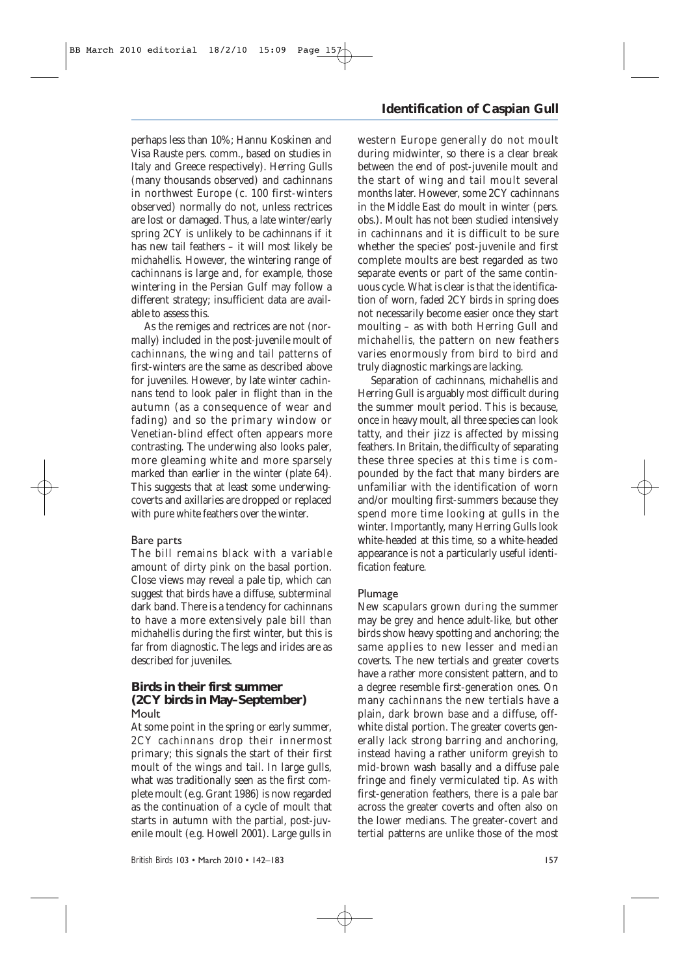perhaps less than 10%; Hannu Koskinen and Visa Rauste pers. comm., based on studies in Italy and Greece respectively). Herring Gulls (many thousands observed) and *cachinnans* in northwest Europe (c. 100 first-winters observed) normally do not, unless rectrices are lost or damaged. Thus, a late winter/early spring 2CY is unlikely to be *cachinnan*s if it has new tail feathers – it will most likely be *michahellis*. However, the wintering range of *cachinnans* is large and, for example, those wintering in the Persian Gulf may follow a different strategy; insufficient data are available to assess this.

As the remiges and rectrices are not (normally) included in the post-juvenile moult of *cachinnans*, the wing and tail patterns of first-winters are the same as described above for juveniles. However, by late winter *cachinnans* tend to look paler in flight than in the autumn (as a consequence of wear and fading) and so the primary window or Venetian-blind effect often appears more contrasting. The underwing also looks paler, more gleaming white and more sparsely marked than earlier in the winter (plate 64). This suggests that at least some underwingcoverts and axillaries are dropped or replaced with pure white feathers over the winter.

#### Bare parts

The bill remains black with a variable amount of dirty pink on the basal portion. Close views may reveal a pale tip, which can suggest that birds have a diffuse, subterminal dark band. There is a tendency for *cachinnans* to have a more extensively pale bill than *michahellis* during the first winter, but this is far from diagnostic. The legs and irides are as described for juveniles.

#### **Birds in their first summer (2CY birds in May–September)** Moult

At some point in the spring or early summer, 2CY *cachinnans* drop their innermost primary; this signals the start of their first moult of the wings and tail. In large gulls, what was traditionally seen as the first complete moult (e.g. Grant 1986) is now regarded as the continuation of a cycle of moult that starts in autumn with the partial, post-juvenile moult (e.g. Howell 2001). Large gulls in

### **Identification of Caspian Gull**

western Europe generally do not moult during midwinter, so there is a clear break between the end of post-juvenile moult and the start of wing and tail moult several months later. However, some 2CY *cachinnans* in the Middle East do moult in winter (pers. obs.). Moult has not been studied intensively in *cachinnans* and it is difficult to be sure whether the species' post-juvenile and first complete moults are best regarded as two separate events or part of the same continuous cycle. What *is* clear is that the identification of worn, faded 2CY birds in spring does not necessarily become easier once they start moulting – as with both Herring Gull and *michahellis,* the pattern on new feathers varies enormously from bird to bird and truly diagnostic markings are lacking.

Separation of *cachinnans*, *michahellis* and Herring Gull is arguably most difficult during the summer moult period. This is because, once in heavy moult, all three species can look tatty, and their jizz is affected by missing feathers. In Britain, the difficulty of separating these three species at this time is compounded by the fact that many birders are unfamiliar with the identification of worn and/or moulting first-summers because they spend more time looking at gulls in the winter. Importantly, many Herring Gulls look white-headed at this time, so a white-headed appearance is not a particularly useful identification feature.

#### Plumage

New scapulars grown during the summer may be grey and hence adult-like, but other birds show heavy spotting and anchoring; the same applies to new lesser and median coverts. The new tertials and greater coverts have a rather more consistent pattern, and to a degree resemble first-generation ones. On many *cachinnans* the new tertials have a plain, dark brown base and a diffuse, offwhite distal portion. The greater coverts generally lack strong barring and anchoring, instead having a rather uniform greyish to mid-brown wash basally and a diffuse pale fringe and finely vermiculated tip. As with first-generation feathers, there is a pale bar across the greater coverts and often also on the lower medians. The greater-covert and tertial patterns are unlike those of the most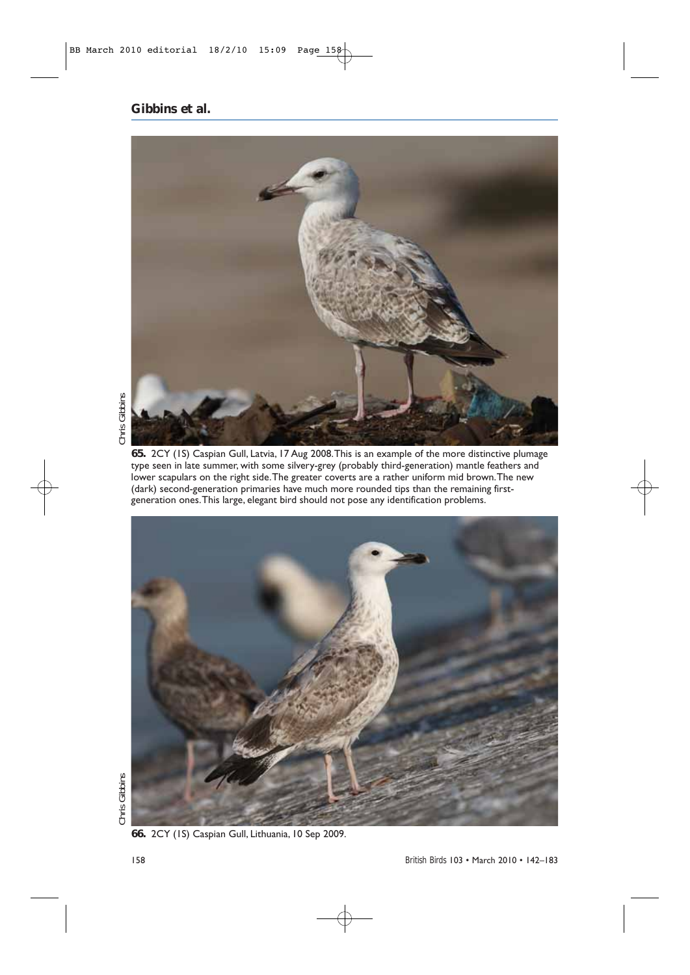

**65.** 2CY (1S) Caspian Gull, Latvia, 17 Aug 2008.This is an example of the more distinctive plumage type seen in late summer, with some silvery-grey (probably third-generation) mantle feathers and lower scapulars on the right side. The greater coverts are a rather uniform mid brown. The new (dark) second-generation primaries have much more rounded tips than the remaining firstgeneration ones.This large, elegant bird should not pose any identification problems.



**66.** 2CY (1S) Caspian Gull, Lithuania, 10 Sep 2009.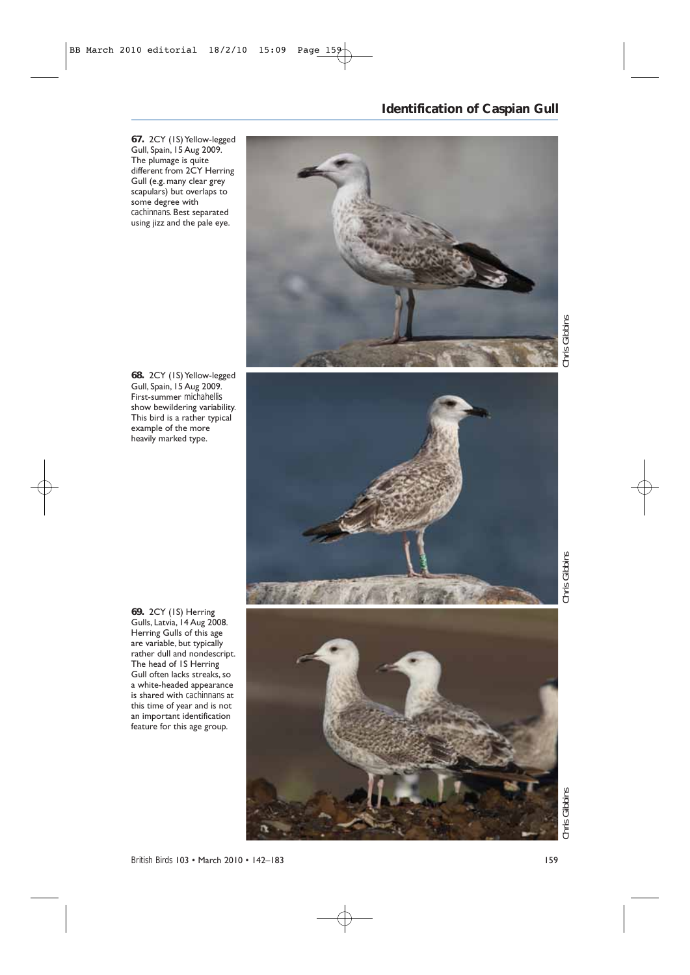**67.** 2CY (1S) Yellow-legged Gull, Spain, 15 Aug 2009. The plumage is quite different from 2CY Herring Gull (e.g. many clear grey scapulars) but overlaps to some degree with *cachinnans*. Best separated using jizz and the pale eye.

### **Identification of Caspian Gull**



**68.** 2CY (1S) Yellow-legged Gull, Spain, 15 Aug 2009.

First-summer *michahellis* show bewildering variability. This bird is a rather typical example of the more heavily marked type.

Chris Gibbins

**69.** 2CY (1S) Herring Gulls, Latvia, 14 Aug 2008. Herring Gulls of this age are variable, but typically rather dull and nondescript. The head of 1S Herring Gull often lacks streaks, so a white-headed appearance is shared with *cachinnans* at this time of year and is not an important identification feature for this age group.

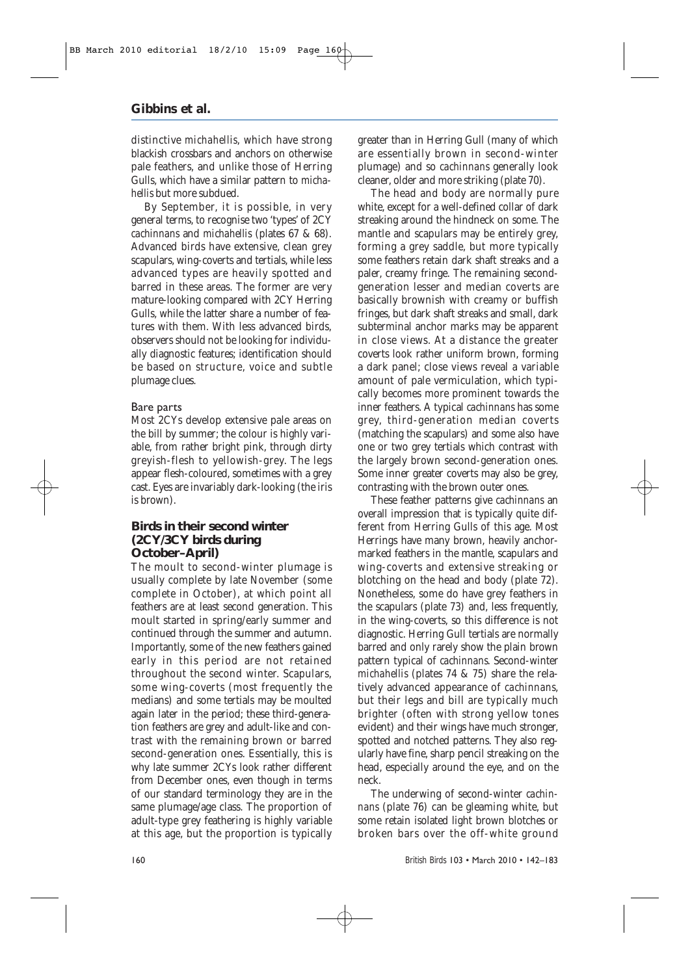distinctive *michahellis*, which have strong blackish crossbars and anchors on otherwise pale feathers, and unlike those of Herring Gulls, which have a similar pattern to *michahellis* but more subdued.

By September, it is possible, in very general terms, to recognise two 'types' of 2CY *cachinnans* and *michahellis* (plates 67 & 68). Advanced birds have extensive, clean grey scapulars, wing-coverts and tertials, while less advanced types are heavily spotted and barred in these areas. The former are very mature-looking compared with 2CY Herring Gulls, while the latter share a number of features with them. With less advanced birds, observers should not be looking for individually diagnostic features; identification should be based on structure, voice and subtle plumage clues.

#### Bare parts

Most 2CYs develop extensive pale areas on the bill by summer; the colour is highly variable, from rather bright pink, through dirty greyish-flesh to yellowish-grey. The legs appear flesh-coloured, sometimes with a grey cast. Eyes are invariably dark-looking (the iris is brown).

### **Birds in their second winter (2CY/3CY birds during October–April)**

The moult to second-winter plumage is usually complete by late November (some complete in October), at which point all feathers are at least second generation. This moult started in spring/early summer and continued through the summer and autumn. Importantly, some of the new feathers gained early in this period are not retained throughout the second winter. Scapulars, some wing-coverts (most frequently the medians) and some tertials may be moulted again later in the period; these third-generation feathers are grey and adult-like and contrast with the remaining brown or barred second-generation ones. Essentially, this is why late summer 2CYs look rather different from December ones, even though in terms of our standard terminology they are in the same plumage/age class. The proportion of adult-type grey feathering is highly variable at this age, but the proportion is typically

greater than in Herring Gull (many of which are essentially brown in second-winter plumage) and so *cachinnans* generally look cleaner, older and more striking (plate 70).

The head and body are normally pure white, except for a well-defined collar of dark streaking around the hindneck on some. The mantle and scapulars may be entirely grey, forming a grey saddle, but more typically some feathers retain dark shaft streaks and a paler, creamy fringe. The remaining secondgeneration lesser and median coverts are basically brownish with creamy or buffish fringes, but dark shaft streaks and small, dark subterminal anchor marks may be apparent in close views. At a distance the greater coverts look rather uniform brown, forming a dark panel; close views reveal a variable amount of pale vermiculation, which typically becomes more prominent towards the inner feathers. A typical *cachinnans* has some grey, third-generation median coverts (matching the scapulars) and some also have one or two grey tertials which contrast with the largely brown second-generation ones. Some inner greater coverts may also be grey, contrasting with the brown outer ones.

These feather patterns give *cachinnans* an overall impression that is typically quite different from Herring Gulls of this age. Most Herrings have many brown, heavily anchormarked feathers in the mantle, scapulars and wing-coverts and extensive streaking or blotching on the head and body (plate 72). Nonetheless, some do have grey feathers in the scapulars (plate 73) and, less frequently, in the wing-coverts, so this difference is not diagnostic. Herring Gull tertials are normally barred and only rarely show the plain brown pattern typical of *cachinnans*. Second-winter *michahellis* (plates 74 & 75) share the relatively advanced appearance of *cachinnans*, but their legs and bill are typically much brighter (often with strong yellow tones evident) and their wings have much stronger, spotted and notched patterns. They also regularly have fine, sharp pencil streaking on the head, especially around the eye, and on the neck.

The underwing of second-winter *cachinnans* (plate 76) can be gleaming white, but some retain isolated light brown blotches or broken bars over the off-white ground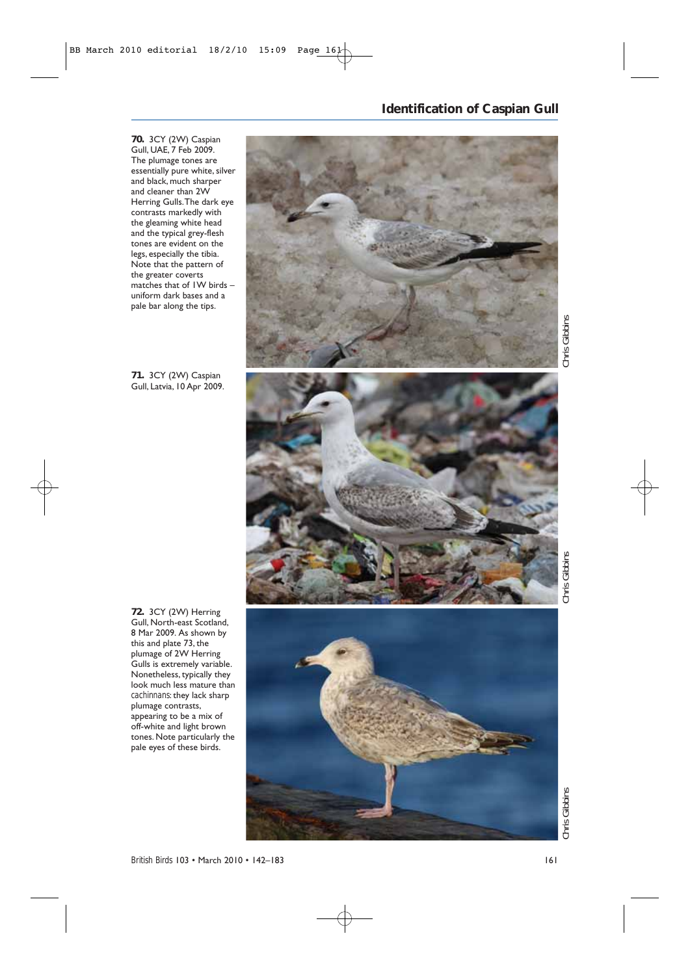### **Identification of Caspian Gull**



**70.** 3CY (2W) Caspian Gull, UAE, 7 Feb 2009. The plumage tones are essentially pure white, silver and black, much sharper and cleaner than 2W Herring Gulls.The dark eye contrasts markedly with the gleaming white head and the typical grey-flesh tones are evident on the legs, especially the tibia. Note that the pattern of the greater coverts matches that of 1W birds – uniform dark bases and a pale bar along the tips.

**71.** 3CY (2W) Caspian Gull, Latvia, 10 Apr 2009.

*Chris Gibbins Chris Gibbins Chris Gibbins* Chris Gibbins

**72.** 3CY (2W) Herring Gull, North-east Scotland, 8 Mar 2009. As shown by this and plate 73, the plumage of 2W Herring Gulls is extremely variable. Nonetheless, typically they look much less mature than *cachinnans*: they lack sharp plumage contrasts, appearing to be a mix of off-white and light brown tones. Note particularly the pale eyes of these birds.



Chris Gibbins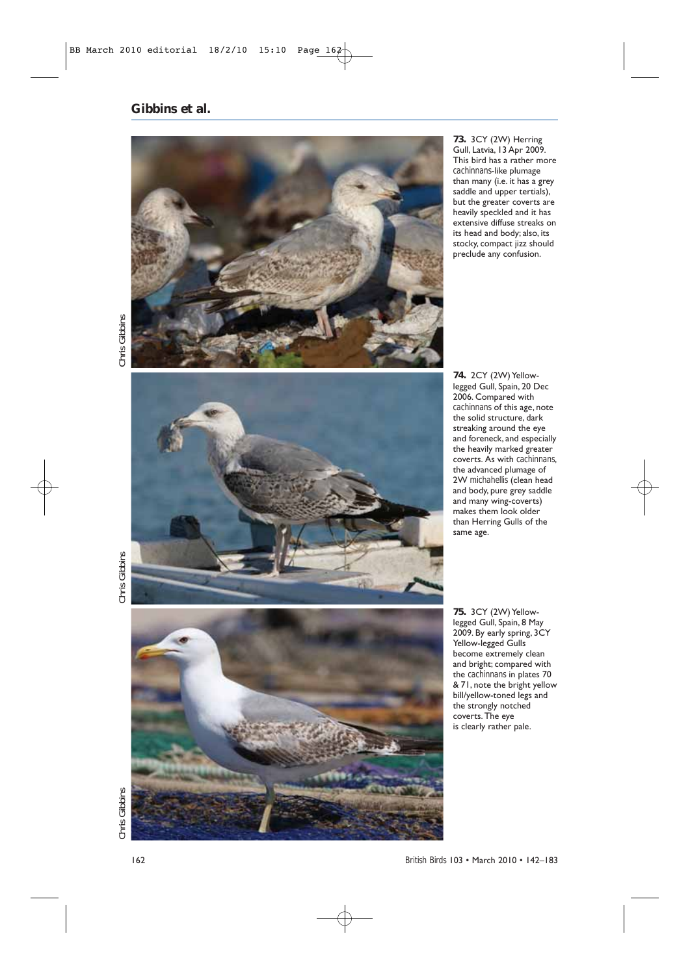

**73.** 3CY (2W) Herring Gull, Latvia, 13 Apr 2009. This bird has a rather more *cachinnans*-like plumage than many (i.e. it has a grey saddle and upper tertials), but the greater coverts are heavily speckled and it has extensive diffuse streaks on its head and body; also, its stocky, compact jizz should preclude any confusion.

Chris Gibbins



**74.** 2CY (2W) Yellowlegged Gull, Spain, 20 Dec 2006. Compared with *cachinnans* of this age, note the solid structure, dark streaking around the eye and foreneck, and especially the heavily marked greater coverts. As with *cachinnans*, the advanced plumage of 2W *michahellis* (clean head and body, pure grey saddle and many wing-coverts) makes them look older than Herring Gulls of the same age.

*Chris Gibbins Chris Gibbins Chris Gibbins* Chris Gibbins



**75.** 3CY (2W) Yellowlegged Gull, Spain, 8 May 2009. By early spring, 3CY Yellow-legged Gulls become extremely clean and bright; compared with the *cachinnans* in plates 70 & 71, note the bright yellow bill/yellow-toned legs and the strongly notched coverts. The eye is clearly rather pale.

*British Birds* 103 • March 2010 • 142–183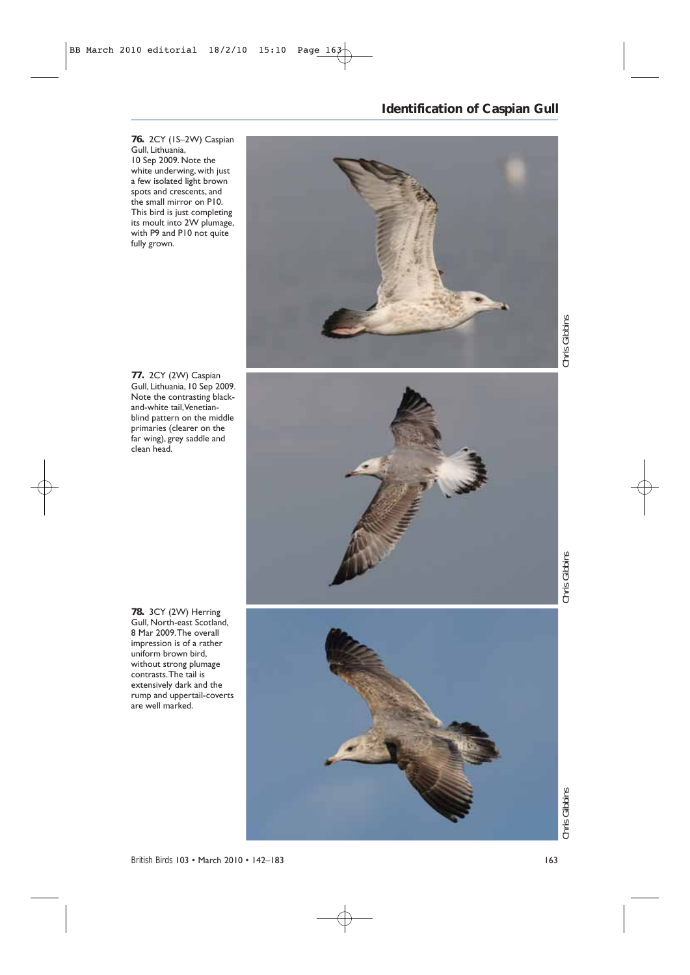**76.** 2CY (1S–2W) Caspian

Gull, Lithuania, 10 Sep 2009. Note the white underwing, with just a few isolated light brown spots and crescents, and the small mirror on P10. This bird is just completing its moult into 2W plumage, with P9 and P10 not quite

fully grown.

### **Identification of Caspian Gull**



**77.** 2CY (2W) Caspian Gull, Lithuania, 10 Sep 2009. Note the contrasting blackand-white tail,Venetianblind pattern on the middle primaries (clearer on the far wing), grey saddle and clean head.



**78.** 3CY (2W) Herring Gull, North-east Scotland, 8 Mar 2009.The overall impression is of a rather uniform brown bird, without strong plumage contrasts.The tail is extensively dark and the rump and uppertail-coverts are well marked.



*British Birds* 103 • March 2010 • 142–183 163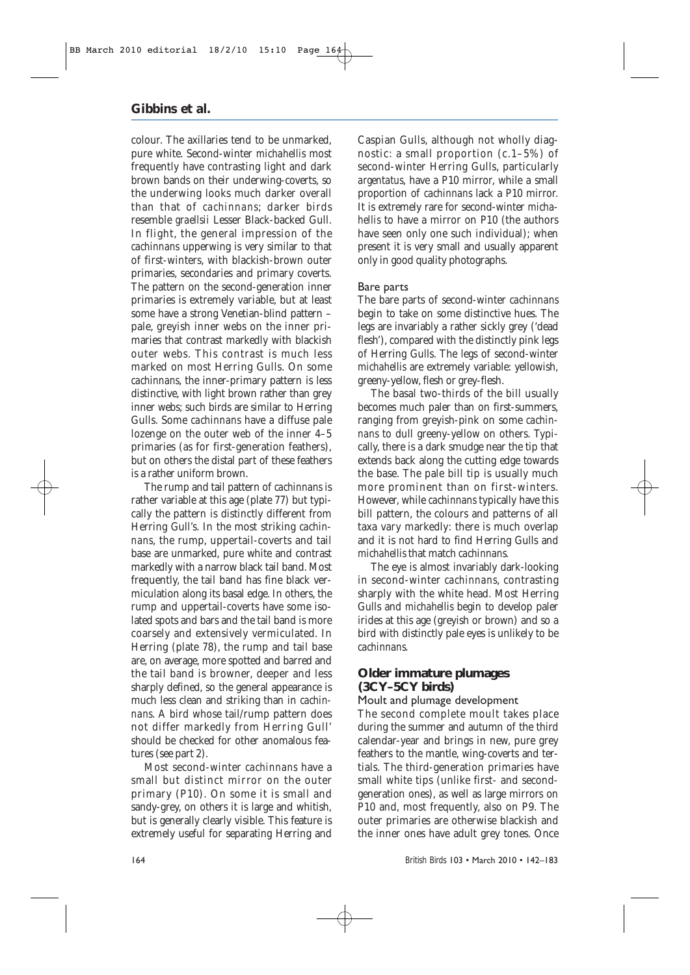colour. The axillaries tend to be unmarked, pure white. Second-winter *michahellis* most frequently have contrasting light and dark brown bands on their underwing-coverts, so the underwing looks much darker overall than that of *cachinnans*; darker birds resemble *graellsii* Lesser Black-backed Gull. In flight, the general impression of the *cachinnans* upperwing is very similar to that of first-winters, with blackish-brown outer primaries, secondaries and primary coverts. The pattern on the second-generation inner primaries is extremely variable, but at least some have a strong Venetian-blind pattern – pale, greyish inner webs on the inner primaries that contrast markedly with blackish outer webs. This contrast is much less marked on most Herring Gulls. On some *cachinnans*, the inner-primary pattern is less distinctive, with light brown rather than grey inner webs; such birds are similar to Herring Gulls. Some *cachinnans* have a diffuse pale lozenge on the outer web of the inner 4–5 primaries (as for first-generation feathers), but on others the distal part of these feathers is a rather uniform brown.

The rump and tail pattern of *cachinnans* is rather variable at this age (plate 77) but typically the pattern is distinctly different from Herring Gull's. In the most striking *cachinnans*, the rump, uppertail-coverts and tail base are unmarked, pure white and contrast markedly with a narrow black tail band. Most frequently, the tail band has fine black vermiculation along its basal edge. In others, the rump and uppertail-coverts have some isolated spots and bars and the tail band is more coarsely and extensively vermiculated. In Herring (plate 78), the rump and tail base are, on average, more spotted and barred and the tail band is browner, deeper and less sharply defined, so the general appearance is much less clean and striking than in *cachinnans*. A bird whose tail/rump pattern does not differ markedly from Herring Gull' should be checked for other anomalous features (see part 2).

Most second-winter *cachinnans* have a small but distinct mirror on the outer primary (P10). On some it is small and sandy-grey, on others it is large and whitish, but is generally clearly visible. This feature is extremely useful for separating Herring and Caspian Gulls, although not wholly diagnostic: a small proportion (c.1–5%) of second-winter Herring Gulls, particularly *argentatus*, have a P10 mirror, while a small proportion of *cachinnans* lack a P10 mirror. It is extremely rare for second-winter *michahellis* to have a mirror on P10 (the authors have seen only one such individual); when present it is very small and usually apparent only in good quality photographs.

#### Bare parts

The bare parts of second-winter *cachinnans* begin to take on some distinctive hues. The legs are invariably a rather sickly grey ('dead flesh'), compared with the distinctly pink legs of Herring Gulls. The legs of second-winter *michahellis* are extremely variable: yellowish, greeny-yellow, flesh or grey-flesh.

The basal two-thirds of the bill usually becomes much paler than on first-summers, ranging from greyish-pink on some *cachinnans* to dull greeny-yellow on others. Typically, there is a dark smudge near the tip that extends back along the cutting edge towards the base. The pale bill tip is usually much more prominent than on first-winters. However, while *cachinnans* typically have this bill pattern, the colours and patterns of all taxa vary markedly: there is much overlap and it is not hard to find Herring Gulls and *michahellis* that match *cachinnans.*

The eye is almost invariably dark-looking in second-winter *cachinnans*, contrasting sharply with the white head. Most Herring Gulls and *michahellis* begin to develop paler irides at this age (greyish or brown) and so a bird with distinctly pale eyes is unlikely to be *cachinnans*.

#### **Older immature plumages (3CY–5CY birds)**

Moult and plumage development

The second complete moult takes place during the summer and autumn of the third calendar-year and brings in new, pure grey feathers to the mantle, wing-coverts and tertials. The third-generation primaries have small white tips (unlike first- and secondgeneration ones), as well as large mirrors on P10 and, most frequently, also on P9. The outer primaries are otherwise blackish and the inner ones have adult grey tones. Once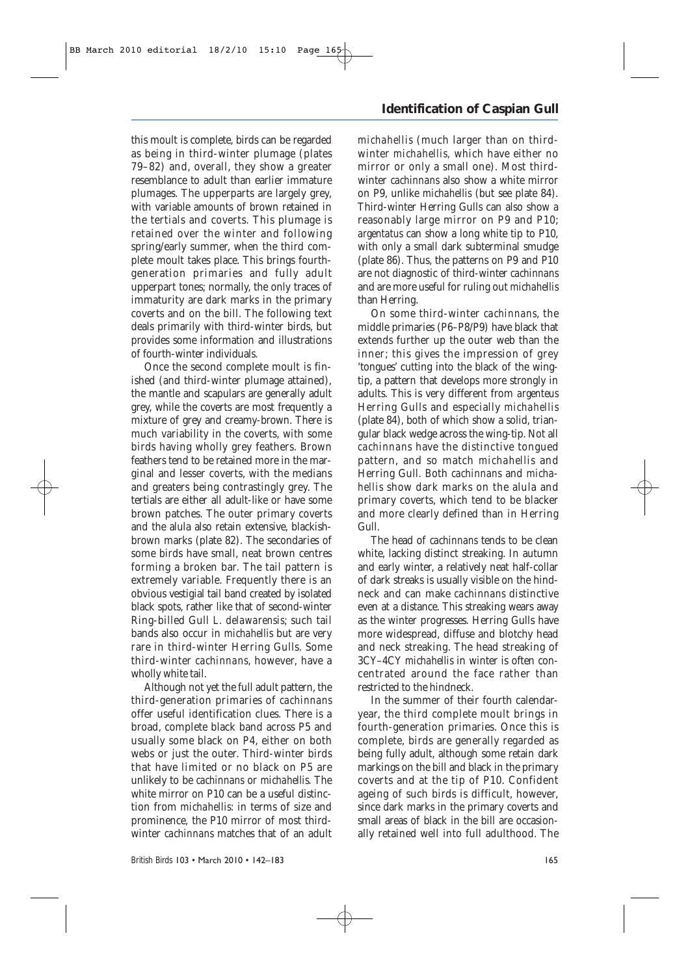this moult is complete, birds can be regarded as being in third-winter plumage (plates 79–82) and, overall, they show a greater resemblance to adult than earlier immature plumages. The upperparts are largely grey, with variable amounts of brown retained in the tertials and coverts. This plumage is retained over the winter and following spring/early summer, when the third complete moult takes place. This brings fourthgeneration primaries and fully adult upperpart tones; normally, the only traces of immaturity are dark marks in the primary coverts and on the bill. The following text deals primarily with third-winter birds, but provides some information and illustrations of fourth-winter individuals.

Once the second complete moult is finished (and third-winter plumage attained), the mantle and scapulars are generally adult grey, while the coverts are most frequently a mixture of grey and creamy-brown. There is much variability in the coverts, with some birds having wholly grey feathers. Brown feathers tend to be retained more in the marginal and lesser coverts, with the medians and greaters being contrastingly grey. The tertials are either all adult-like or have some brown patches. The outer primary coverts and the alula also retain extensive, blackishbrown marks (plate 82). The secondaries of some birds have small, neat brown centres forming a broken bar. The tail pattern is extremely variable. Frequently there is an obvious vestigial tail band created by isolated black spots, rather like that of second-winter Ring-billed Gull *L. delawarensis*; such tail bands also occur in *michahellis* but are very rare in third-winter Herring Gulls. Some third-winter *cachinnans*, however, have a wholly white tail.

Although not yet the full adult pattern, the third-generation primaries of *cachinnans* offer useful identification clues. There is a broad, complete black band across P5 and usually some black on P4, either on both webs or just the outer. Third-winter birds that have limited or no black on P5 are unlikely to be *cachinnans* or *michahellis*. The white mirror on P10 can be a useful distinction from *michahellis*: in terms of size and prominence*,* the P10 mirror of most thirdwinter *cachinnans* matches that of an adult

### **Identification of Caspian Gull**

*michahellis* (much larger than on thirdwinter *michahellis,* which have either no mirror or only a small one). Most thirdwinter *cachinnans* also show a white mirror on P9, unlike *michahellis* (but see plate 84). Third-winter Herring Gulls can also show a reasonably large mirror on P9 and P10; *argentatus* can show a long white tip to P10, with only a small dark subterminal smudge (plate 86). Thus, the patterns on P9 and P10 are not diagnostic of third-winter *cachinnans* and are more useful for ruling out *michahellis* than Herring.

On some third-winter *cachinnans*, the middle primaries (P6–P8/P9) have black that extends further up the outer web than the inner; this gives the impression of grey 'tongues' cutting into the black of the wingtip, a pattern that develops more strongly in adults. This is very different from *argenteus* Herring Gulls and especially *michahellis* (plate 84), both of which show a solid, triangular black wedge across the wing-tip. Not all *cachinnans* have the distinctive tongued pattern, and so match *michahellis* and Herring Gull*.* Both *cachinnans* and *michahellis* show dark marks on the alula and primary coverts, which tend to be blacker and more clearly defined than in Herring Gull.

The head of *cachinnans* tends to be clean white, lacking distinct streaking. In autumn and early winter, a relatively neat half-collar of dark streaks is usually visible on the hindneck and can make *cachinnans* distinctive even at a distance. This streaking wears away as the winter progresses. Herring Gulls have more widespread, diffuse and blotchy head and neck streaking. The head streaking of 3CY–4CY *michahellis* in winter is often concentrated around the face rather than restricted to the hindneck.

In the summer of their fourth calendaryear, the third complete moult brings in fourth-generation primaries. Once this is complete, birds are generally regarded as being fully adult, although some retain dark markings on the bill and black in the primary coverts and at the tip of P10. Confident ageing of such birds is difficult, however, since dark marks in the primary coverts and small areas of black in the bill are occasionally retained well into full adulthood. The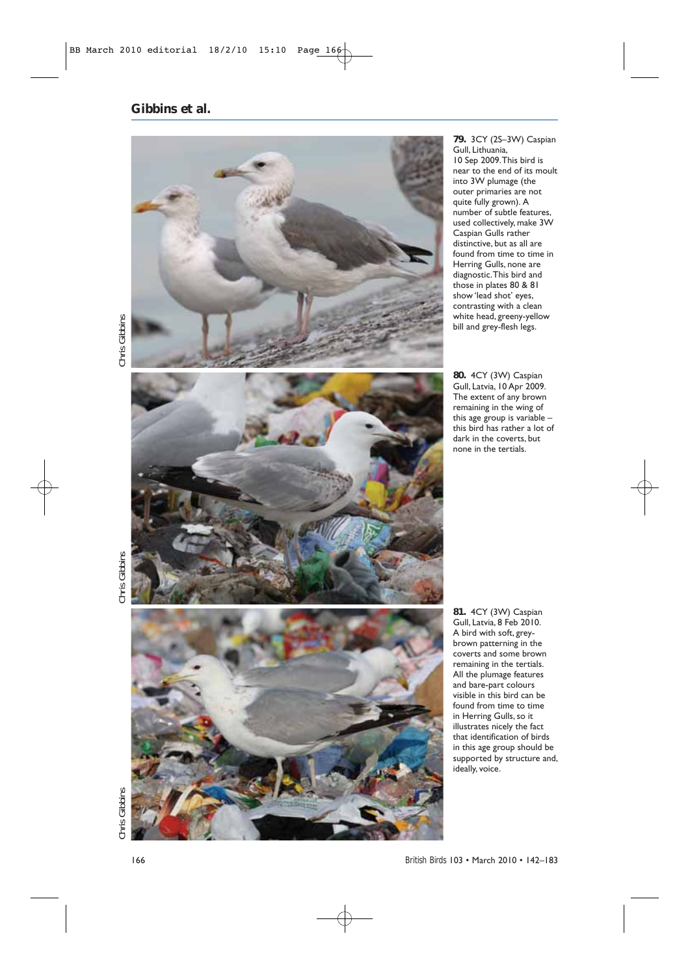

**79.** 3CY (2S–3W) Caspian Gull, Lithuania, 10 Sep 2009.This bird is near to the end of its moult into 3W plumage (the outer primaries are not quite fully grown). A number of subtle features, used collectively, make 3W Caspian Gulls rather distinctive, but as all are found from time to time in Herring Gulls, none are diagnostic.This bird and those in plates 80 & 81 show 'lead shot' eyes, contrasting with a clean white head, greeny-yellow bill and grey-flesh legs.

**80.** 4CY (3W) Caspian Gull, Latvia, 10 Apr 2009. The extent of any brown remaining in the wing of this age group is variable – this bird has rather a lot of dark in the coverts, but none in the tertials.



**81.** 4CY (3W) Caspian Gull, Latvia, 8 Feb 2010. A bird with soft, greybrown patterning in the coverts and some brown remaining in the tertials. All the plumage features and bare-part colours visible in this bird can be found from time to time in Herring Gulls, so it illustrates nicely the fact that identification of birds in this age group should be supported by structure and, ideally, voice.

*Chris Gibbins Chris Gibbins Chris Gibbins* **Chris Gibbins**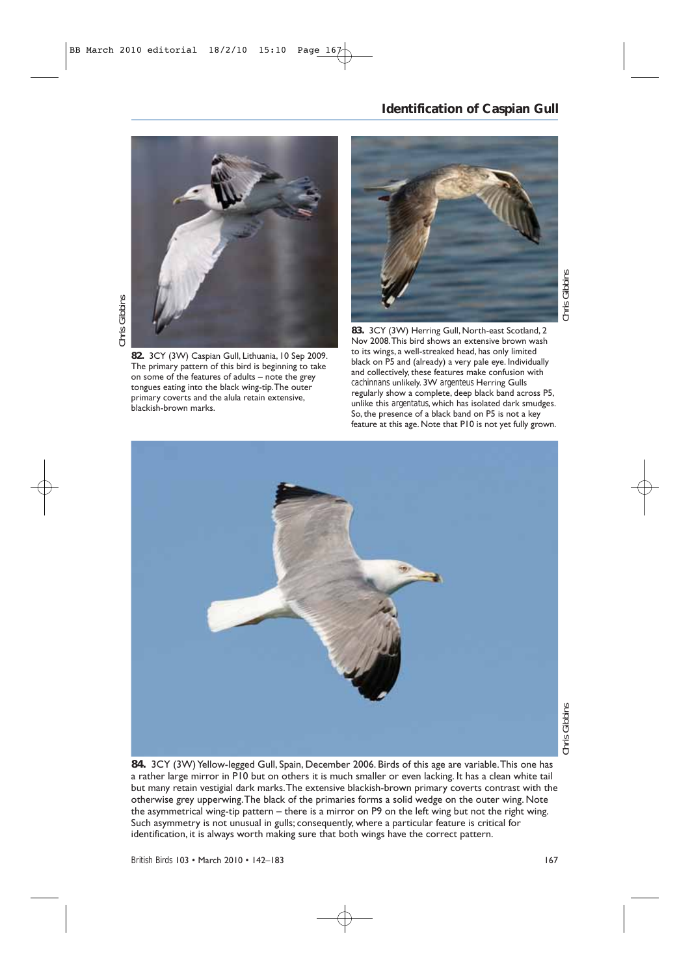### **Identification of Caspian Gull**



**82.** 3CY (3W) Caspian Gull, Lithuania, 10 Sep 2009. The primary pattern of this bird is beginning to take on some of the features of adults – note the grey tongues eating into the black wing-tip.The outer primary coverts and the alula retain extensive, blackish-brown marks.



**83.** 3CY (3W) Herring Gull, North-east Scotland, 2 Nov 2008.This bird shows an extensive brown wash to its wings, a well-streaked head, has only limited black on P5 and (already) a very pale eye. Individually and collectively, these features make confusion with *cachinnans* unlikely. 3W *argenteus* Herring Gulls regularly show a complete, deep black band across P5, unlike this *argentatus*, which has isolated dark smudges. So, the presence of a black band on P5 is not a key feature at this age. Note that P10 is not yet fully grown.



**84.** 3CY (3W) Yellow-legged Gull, Spain, December 2006. Birds of this age are variable.This one has a rather large mirror in P10 but on others it is much smaller or even lacking. It has a clean white tail but many retain vestigial dark marks.The extensive blackish-brown primary coverts contrast with the otherwise grey upperwing.The black of the primaries forms a solid wedge on the outer wing. Note the asymmetrical wing-tip pattern – there is a mirror on P9 on the left wing but not the right wing. Such asymmetry is not unusual in gulls; consequently, where a particular feature is critical for identification, it is always worth making sure that both wings have the correct pattern.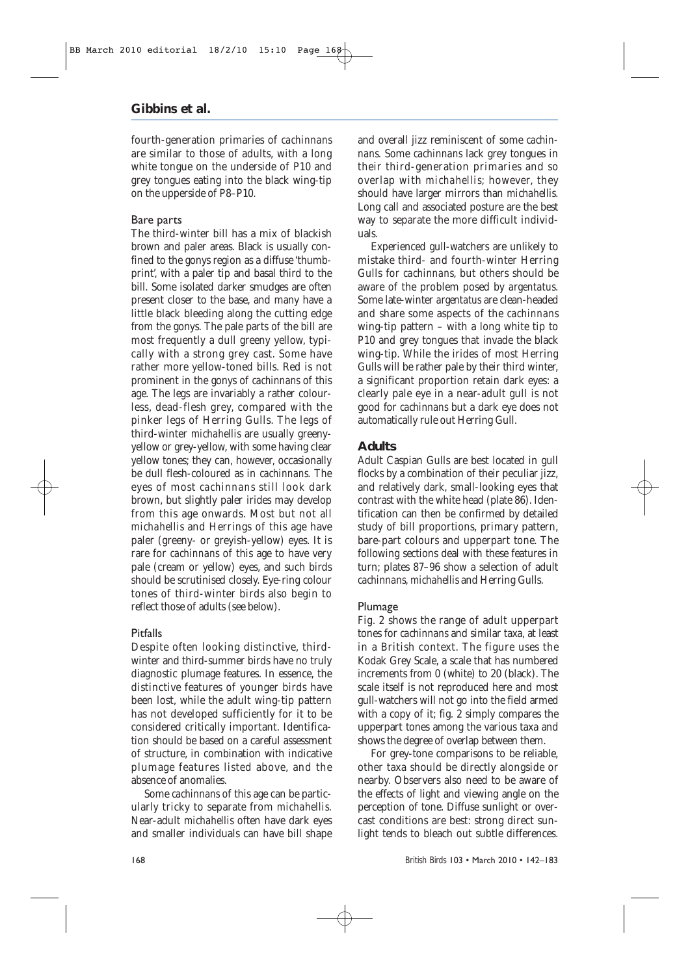fourth-generation primaries of *cachinnans* are similar to those of adults, with a long white tongue on the underside of P10 and grey tongues eating into the black wing-tip on the upperside of P8–P10.

#### Bare parts

The third-winter bill has a mix of blackish brown and paler areas. Black is usually confined to the gonys region as a diffuse 'thumbprint', with a paler tip and basal third to the bill. Some isolated darker smudges are often present closer to the base, and many have a little black bleeding along the cutting edge from the gonys. The pale parts of the bill are most frequently a dull greeny yellow, typically with a strong grey cast. Some have rather more yellow-toned bills. Red is not prominent in the gonys of *cachinnans* of this age. The legs are invariably a rather colourless, dead-flesh grey, compared with the pinker legs of Herring Gulls. The legs of third-winter *michahellis* are usually greenyyellow or grey-yellow, with some having clear yellow tones; they can, however, occasionally be dull flesh-coloured as in *cachinnans.* The eyes of most *cachinnans* still look dark brown, but slightly paler irides may develop from this age onwards. Most but not all *michahellis* and Herrings of this age have paler (greeny- or greyish-yellow) eyes. It is rare for *cachinnans* of this age to have very pale (cream or yellow) eyes, and such birds should be scrutinised closely. Eye-ring colour tones of third-winter birds also begin to reflect those of adults (see below).

#### Pitfalls

Despite often looking distinctive, thirdwinter and third-summer birds have no truly diagnostic plumage features. In essence, the distinctive features of younger birds have been lost, while the adult wing-tip pattern has not developed sufficiently for it to be considered critically important. Identification should be based on a careful assessment of structure, in combination with indicative plumage features listed above, and the absence of anomalies.

Some *cachinnans* of this age can be particularly tricky to separate from *michahellis*. Near-adult *michahellis* often have dark eyes and smaller individuals can have bill shape and overall jizz reminiscent of some *cachinnans.* Some *cachinnans* lack grey tongues in their third-generation primaries and so overlap with *michahellis;* however, they should have larger mirrors than *michahellis*. Long call and associated posture are the best way to separate the more difficult individuals.

Experienced gull-watchers are unlikely to mistake third- and fourth-winter Herring Gulls for *cachinnans*, but others should be aware of the problem posed by *argentatus.* Some late-winter *argentatus* are clean-headed and share some aspects of the *cachinnans* wing-tip pattern – with a long white tip to P10 and grey tongues that invade the black wing-tip. While the irides of most Herring Gulls will be rather pale by their third winter, a significant proportion retain dark eyes: a clearly pale eye in a near-adult gull is not good for *cachinnans* but a dark eye does not automatically rule out Herring Gull.

#### **Adults**

Adult Caspian Gulls are best located in gull flocks by a combination of their peculiar jizz, and relatively dark, small-looking eyes that contrast with the white head (plate 86). Identification can then be confirmed by detailed study of bill proportions, primary pattern, bare-part colours and upperpart tone. The following sections deal with these features in turn; plates 87–96 show a selection of adult *cachinnans, michahellis* and Herring Gulls.

#### Plumage

Fig. 2 shows the range of adult upperpart tones for *cachinnans* and similar taxa, at least in a British context. The figure uses the Kodak Grey Scale, a scale that has numbered increments from 0 (white) to 20 (black). The scale itself is not reproduced here and most gull-watchers will not go into the field armed with a copy of it; fig. 2 simply compares the upperpart tones among the various taxa and shows the degree of overlap between them.

For grey-tone comparisons to be reliable, other taxa should be directly alongside or nearby. Observers also need to be aware of the effects of light and viewing angle on the perception of tone. Diffuse sunlight or overcast conditions are best: strong direct sunlight tends to bleach out subtle differences.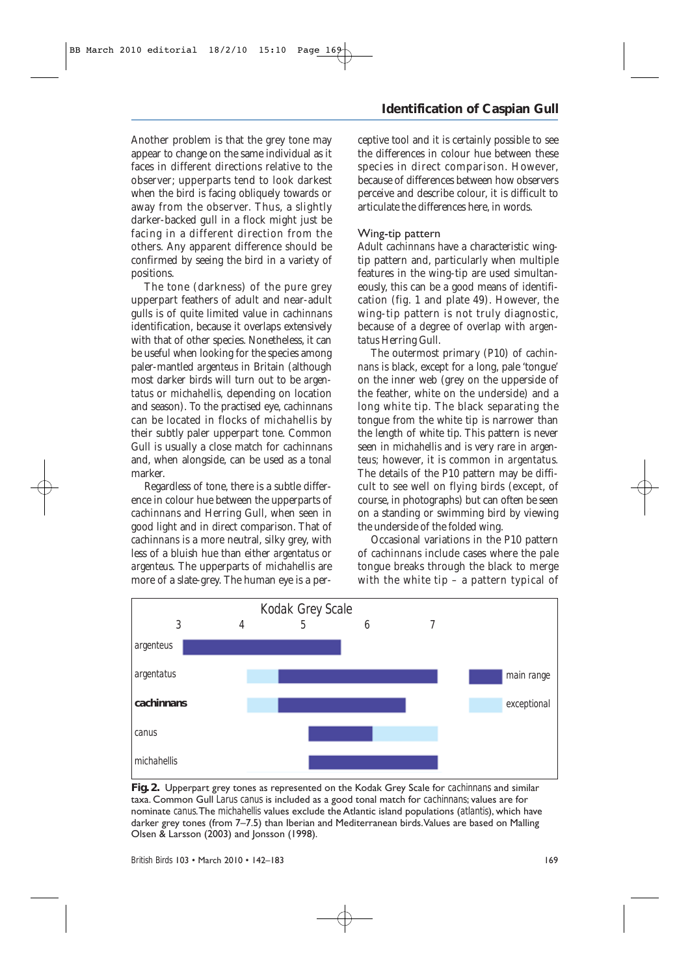Another problem is that the grey tone may appear to change on the same individual as it faces in different directions relative to the observer; upperparts tend to look darkest when the bird is facing obliquely towards or away from the observer. Thus, a slightly darker-backed gull in a flock might just be facing in a different direction from the others. Any apparent difference should be confirmed by seeing the bird in a variety of positions.

The tone (darkness) of the pure grey upperpart feathers of adult and near-adult gulls is of quite limited value in *cachinnans* identification, because it overlaps extensively with that of other species. Nonetheless, it can be useful when looking for the species among paler-mantled *argenteus* in Britain (although most darker birds will turn out to be *argentatus* or *michahellis,* depending on location and season). To the practised eye, *cachinnans* can be located in flocks of *michahellis* by their subtly paler upperpart tone. Common Gull is usually a close match for *cachinnans* and, when alongside, can be used as a tonal marker.

Regardless of tone, there is a subtle difference in colour hue between the upperparts of *cachinnans* and Herring Gull, when seen in good light and in direct comparison. That of *cachinnans* is a more neutral, silky grey, with less of a bluish hue than either *argentatus* or *argenteus*. The upperparts of *michahellis* are more of a slate-grey. The human eye is a per-

### **Identification of Caspian Gull**

ceptive tool and it is certainly possible to see the differences in colour hue between these species in direct comparison. However, because of differences between how observers perceive and describe colour, it is difficult to articulate the differences here, in words.

#### Wing-tip pattern

Adult *cachinnans* have a characteristic wingtip pattern and, particularly when multiple features in the wing-tip are used simultaneously, this can be a good means of identification (fig. 1 and plate 49). However, the wing-tip pattern is not truly diagnostic, because of a degree of overlap with *argentatus* Herring Gull.

The outermost primary (P10) of *cachinnans* is black, except for a long, pale 'tongue' on the inner web (grey on the upperside of the feather, white on the underside) and a long white tip. The black separating the tongue from the white tip is narrower than the length of white tip. This pattern is never seen in *michahellis* and is very rare in *argenteus;* however, it is common in *argentatus.* The details of the P10 pattern may be difficult to see well on flying birds (except, of course, in photographs) but can often be seen on a standing or swimming bird by viewing the underside of the folded wing.

Occasional variations in the P10 pattern of *cachinnans* include cases where the pale tongue breaks through the black to merge with the white tip – a pattern typical of



**Fig. 2.** Upperpart grey tones as represented on the Kodak Grey Scale for *cachinnans* and similar taxa. Common Gull *Larus canus* is included as a good tonal match for *cachinnans*; values are for nominate *canus*.The *michahellis* values exclude the Atlantic island populations (*atlantis*), which have darker grey tones (from 7-7.5) than Iberian and Mediterranean birds. Values are based on Malling Olsen & Larsson (2003) and Jonsson (1998).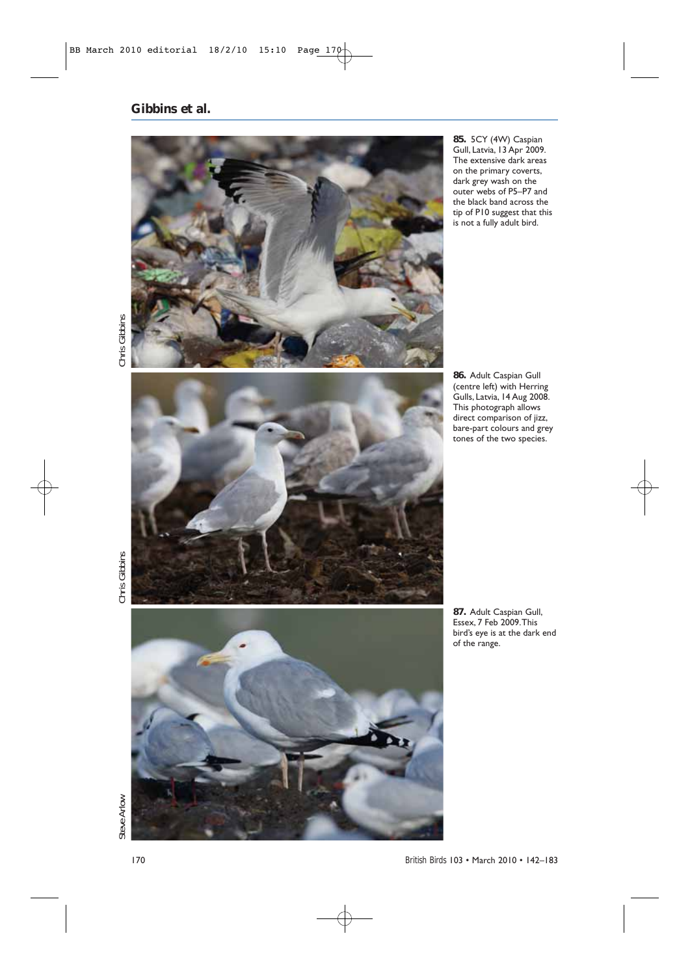

**85.** 5CY (4W) Caspian Gull, Latvia, 13 Apr 2009. The extensive dark areas on the primary coverts, dark grey wash on the outer webs of P5–P7 and the black band across the tip of P10 suggest that this is not a fully adult bird.

Chris Gibbins



**86.** Adult Caspian Gull (centre left) with Herring Gulls, Latvia, 14 Aug 2008. This photograph allows direct comparison of jizz, bare-part colours and grey tones of the two species.

*Steve Arlow Chris Gibbins Chris Gibbins* Chris Gibbins



**87.** Adult Caspian Gull, Essex, 7 Feb 2009.This bird's eye is at the dark end of the range.

Steve Arlow

170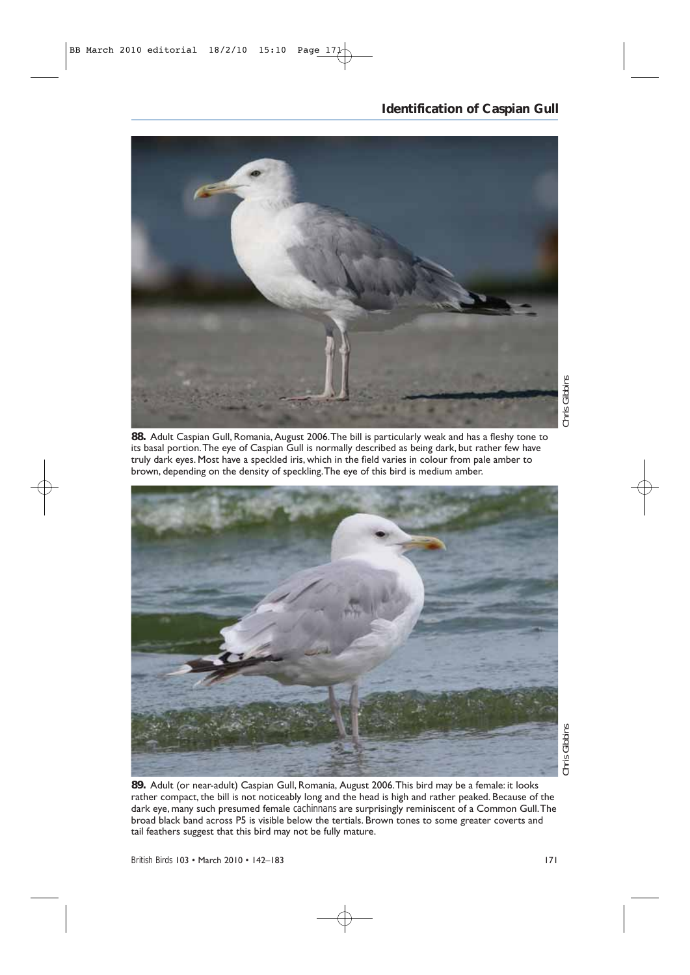### **Identification of Caspian Gull**



Chris Gibbins *Chris Gibbins*

**88.** Adult Caspian Gull, Romania, August 2006.The bill is particularly weak and has a fleshy tone to its basal portion.The eye of Caspian Gull is normally described as being dark, but rather few have truly dark eyes. Most have a speckled iris, which in the field varies in colour from pale amber to brown, depending on the density of speckling.The eye of this bird is medium amber.



**89.** Adult (or near-adult) Caspian Gull, Romania, August 2006.This bird may be a female: it looks rather compact, the bill is not noticeably long and the head is high and rather peaked. Because of the dark eye, many such presumed female *cachinnans* are surprisingly reminiscent of a Common Gull.The broad black band across P5 is visible below the tertials. Brown tones to some greater coverts and tail feathers suggest that this bird may not be fully mature.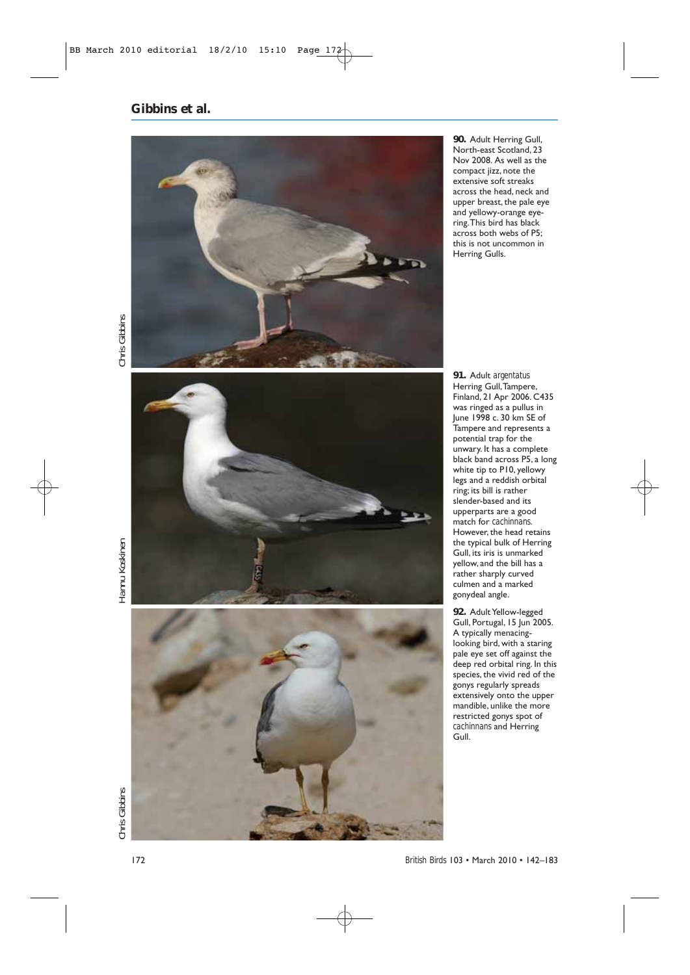

**90.** Adult Herring Gull, North-east Scotland, 23 Nov 2008. As well as the compact jizz, note the extensive soft streaks across the head, neck and upper breast, the pale eye and yellowy-orange eyering.This bird has black across both webs of P5; this is not uncommon in Herring Gulls.

Chris Gibbins *Chris Gibbins Hannu Koskinen Chris Gibbins*

Hannu Koskinen





**91.** Adult *argentatus* Herring Gull,Tampere, Finland, 21 Apr 2006. C435 was ringed as a pullus in June 1998 c. 30 km SE of Tampere and represents a potential trap for the unwary. It has a complete black band across P5, a long white tip to P10, yellowy legs and a reddish orbital ring; its bill is rather slender-based and its upperparts are a good match for *cachinnans*. However, the head retains the typical bulk of Herring Gull, its iris is unmarked yellow, and the bill has a rather sharply curved culmen and a marked gonydeal angle.

**92.** Adult Yellow-legged Gull, Portugal, 15 Jun 2005. A typically menacinglooking bird, with a staring pale eye set off against the deep red orbital ring. In this species, the vivid red of the gonys regularly spreads extensively onto the upper mandible, unlike the more restricted gonys spot of *cachinnans* and Herring Gull.

*British Birds* 103 • March 2010 • 142–183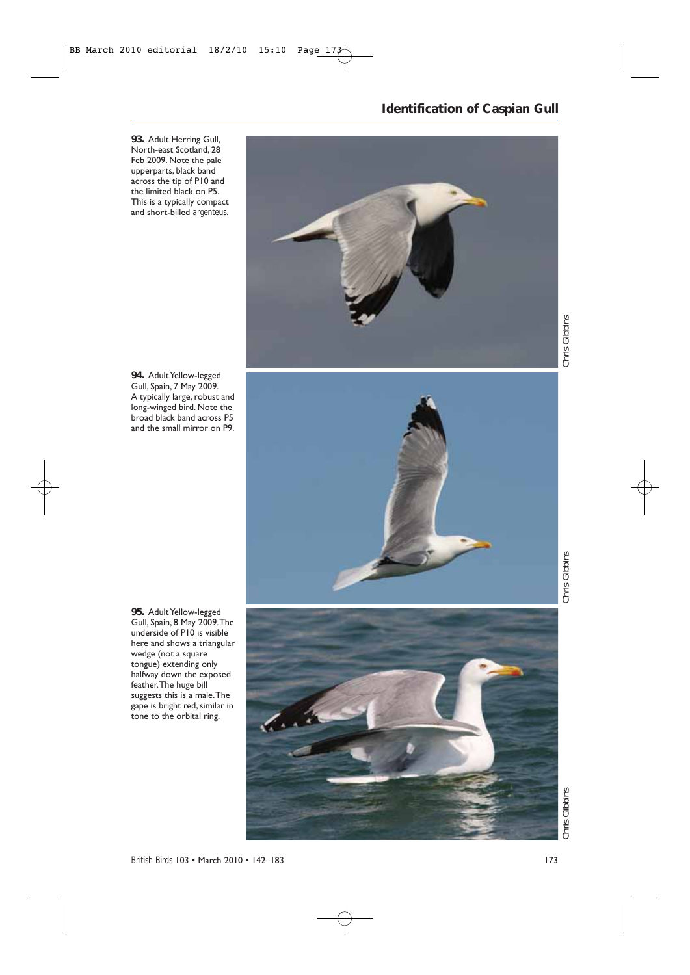**93.** Adult Herring Gull, North-east Scotland, 28 Feb 2009. Note the pale upperparts, black band across the tip of P10 and the limited black on P5. This is a typically compact and short-billed *argenteus*.



**94.** Adult Yellow-legged Gull, Spain, 7 May 2009. A typically large, robust and long-winged bird. Note the broad black band across P5 and the small mirror on P9.



**95.** Adult Yellow-legged Gull, Spain, 8 May 2009.The underside of P10 is visible here and shows a triangular wedge (not a square tongue) extending only halfway down the exposed feather.The huge bill suggests this is a male.The gape is bright red, similar in tone to the orbital ring.



*British Birds* 103 • March 2010 • 142–183 173

**Identification of Caspian Gull**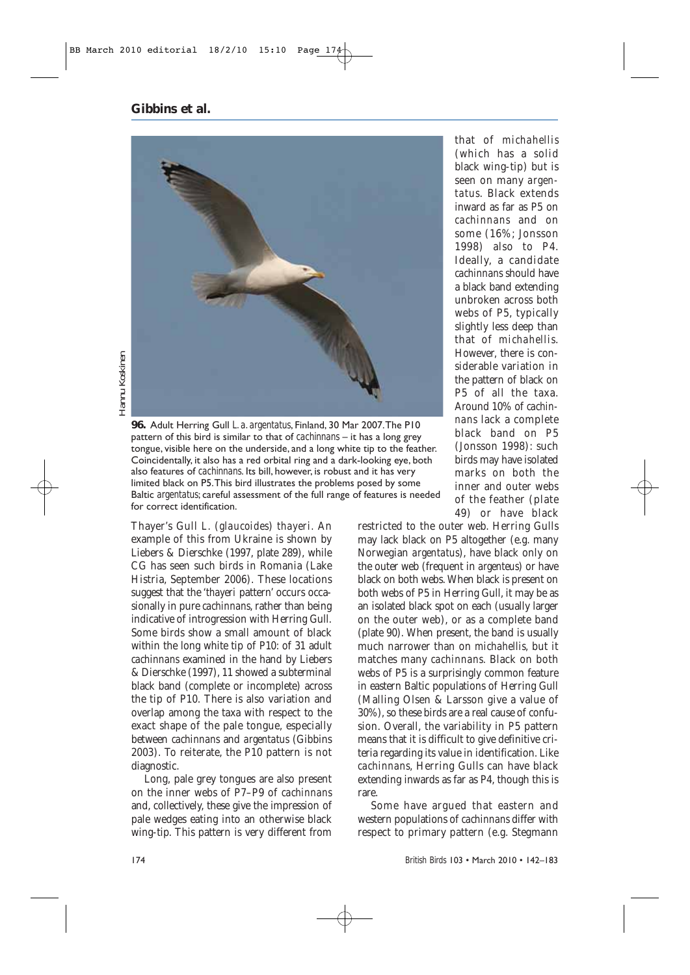**Gibbins** *et al.*



Hannu Koskinen *Hannu Koskinen*

> **96.** Adult Herring Gull *L. a. argentatus*, Finland, 30 Mar 2007.The P10 pattern of this bird is similar to that of *cachinnans* – it has a long grey tongue, visible here on the underside, and a long white tip to the feather. Coincidentally, it also has a red orbital ring and a dark-looking eye, both also features of *cachinnans*. Its bill, however, is robust and it has very limited black on P5.This bird illustrates the problems posed by some Baltic *argentatus*; careful assessment of the full range of features is needed for correct identification.

Thayer's Gull *L.* (*glaucoides*) *thayeri.* An example of this from Ukraine is shown by Liebers & Dierschke (1997, plate 289), while CG has seen such birds in Romania (Lake Histria, September 2006). These locations suggest that the '*thayeri* pattern' occurs occasionally in pure *cachinnans*, rather than being indicative of introgression with Herring Gull. Some birds show a small amount of black within the long white tip of P10: of 31 adult *cachinnans* examined in the hand by Liebers & Dierschke (1997), 11 showed a subterminal black band (complete or incomplete) across the tip of P10. There is also variation and overlap among the taxa with respect to the exact shape of the pale tongue, especially between *cachinnans* and *argentatus* (Gibbins 2003). To reiterate, the P10 pattern is not diagnostic.

Long, pale grey tongues are also present on the inner webs of P7–P9 of *cachinnans* and, collectively, these give the impression of pale wedges eating into an otherwise black wing-tip. This pattern is very different from

that of *michahellis* (which has a solid black wing-tip) but is seen on many *argentatus*. Black extends inward as far as P5 on *cachinnans* and on some (16%; Jonsson 1998) also to P4. Ideally, a candidate *cachinnans* should have a black band extending unbroken across both webs of P5, typically slightly less deep than that of *michahellis*. However, there is considerable variation in the pattern of black on P5 of all the taxa. Around 10% of *cachinnans* lack a complete black band on P5 (Jonsson 1998): such birds may have isolated marks on both the inner and outer webs of the feather (plate 49) or have black

restricted to the outer web. Herring Gulls may lack black on P5 altogether (e.g. many Norwegian *argentatus*), have black only on the outer web (frequent in *argenteus*) or have black on both webs. When black is present on both webs of P5 in Herring Gull, it may be as an isolated black spot on each (usually larger on the outer web), or as a complete band (plate 90). When present, the band is usually much narrower than on *michahellis,* but it matches many *cachinnans.* Black on both webs of P5 is a surprisingly common feature in eastern Baltic populations of Herring Gull (Malling Olsen & Larsson give a value of 30%), so these birds are a real cause of confusion. Overall, the variability in P5 pattern means that it is difficult to give definitive criteria regarding its value in identification. Like *cachinnans*, Herring Gulls can have black extending inwards as far as P4, though this is rare.

Some have argued that eastern and western populations of *cachinnans* differ with respect to primary pattern (e.g. Stegmann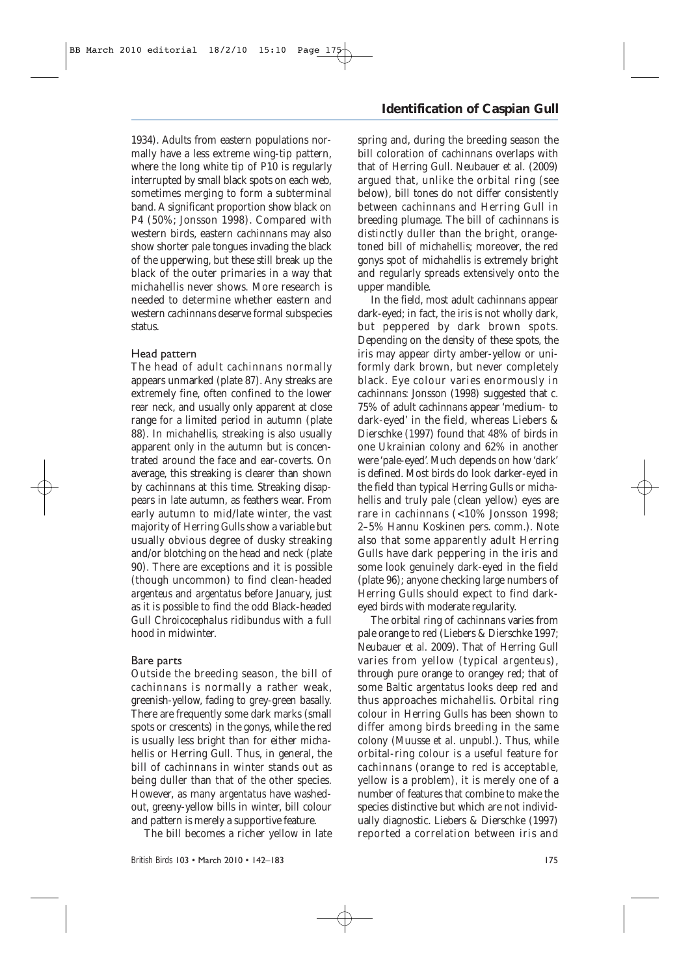1934). Adults from eastern populations normally have a less extreme wing-tip pattern, where the long white tip of P10 is regularly interrupted by small black spots on each web, sometimes merging to form a subterminal band. A significant proportion show black on P4 (50%; Jonsson 1998). Compared with western birds, eastern *cachinnans* may also show shorter pale tongues invading the black of the upperwing, but these still break up the black of the outer primaries in a way that *michahellis* never shows*.* More research is needed to determine whether eastern and western *cachinnans* deserve formal subspecies status.

#### Head pattern

The head of adult *cachinnans* normally appears unmarked (plate 87). Any streaks are extremely fine, often confined to the lower rear neck, and usually only apparent at close range for a limited period in autumn (plate 88). In *michahellis,* streaking is also usually apparent only in the autumn but is concentrated around the face and ear-coverts. On average, this streaking is clearer than shown by *cachinnans* at this time. Streaking disappears in late autumn, as feathers wear. From early autumn to mid/late winter, the vast majority of Herring Gulls show a variable but usually obvious degree of dusky streaking and/or blotching on the head and neck (plate 90). There are exceptions and it is possible (though uncommon) to find clean-headed *argenteus* and *argentatus* before January, just as it is possible to find the odd Black-headed Gull *Chroicocephalus ridibundus* with a full hood in midwinter.

#### Bare parts

Outside the breeding season, the bill of *cachinnans* is normally a rather weak, greenish-yellow, fading to grey-green basally. There are frequently some dark marks (small spots or crescents) in the gonys, while the red is usually less bright than for either *michahellis* or Herring Gull. Thus, in general, the bill of *cachinnans* in winter stands out as being duller than that of the other species. However, as many *argentatus* have washedout, greeny-yellow bills in winter, bill colour and pattern is merely a supportive feature.

The bill becomes a richer yellow in late

### **Identification of Caspian Gull**

spring and, during the breeding season the bill coloration of *cachinnans* overlaps with that of Herring Gull. Neubauer *et al.* (2009) argued that, unlike the orbital ring (see below), bill tones do not differ consistently between *cachinnans* and Herring Gull in breeding plumage. The bill of *cachinnans* is distinctly duller than the bright, orangetoned bill of *michahellis*; moreover, the red gonys spot of *michahellis* is extremely bright and regularly spreads extensively onto the upper mandible.

In the field, most adult *cachinnans* appear dark-eyed; in fact, the iris is not wholly dark, but peppered by dark brown spots. Depending on the density of these spots, the iris may appear dirty amber-yellow or uniformly dark brown, but never completely black. Eye colour varies enormously in *cachinnans*: Jonsson (1998) suggested that c. 75% of adult *cachinnans* appear 'medium- to dark-eyed' in the field, whereas Liebers & Dierschke (1997) found that 48% of birds in one Ukrainian colony and 62% in another were 'pale-eyed'. Much depends on how 'dark' is defined. Most birds do look darker-eyed in the field than typical Herring Gulls or *michahellis* and truly pale (clean yellow) eyes are rare in *cachinnans* (<10% Jonsson 1998; 2–5% Hannu Koskinen pers. comm.). Note also that some apparently adult Herring Gulls have dark peppering in the iris and some look genuinely dark-eyed in the field (plate 96); anyone checking large numbers of Herring Gulls should expect to find darkeyed birds with moderate regularity.

The orbital ring of *cachinnans* varies from pale orange to red (Liebers & Dierschke 1997; Neubauer *et al.* 2009). That of Herring Gull varies from yellow (typical *argenteus*), through pure orange to orangey red; that of some Baltic *argentatus* looks deep red and thus approaches *michahellis*. Orbital ring colour in Herring Gulls has been shown to differ among birds breeding in the same colony (Muusse *et al.* unpubl.). Thus, while orbital-ring colour is a useful feature for *cachinnans* (orange to red is acceptable, yellow is a problem), it is merely one of a number of features that combine to make the species distinctive but which are not individually diagnostic. Liebers & Dierschke (1997) reported a correlation between iris and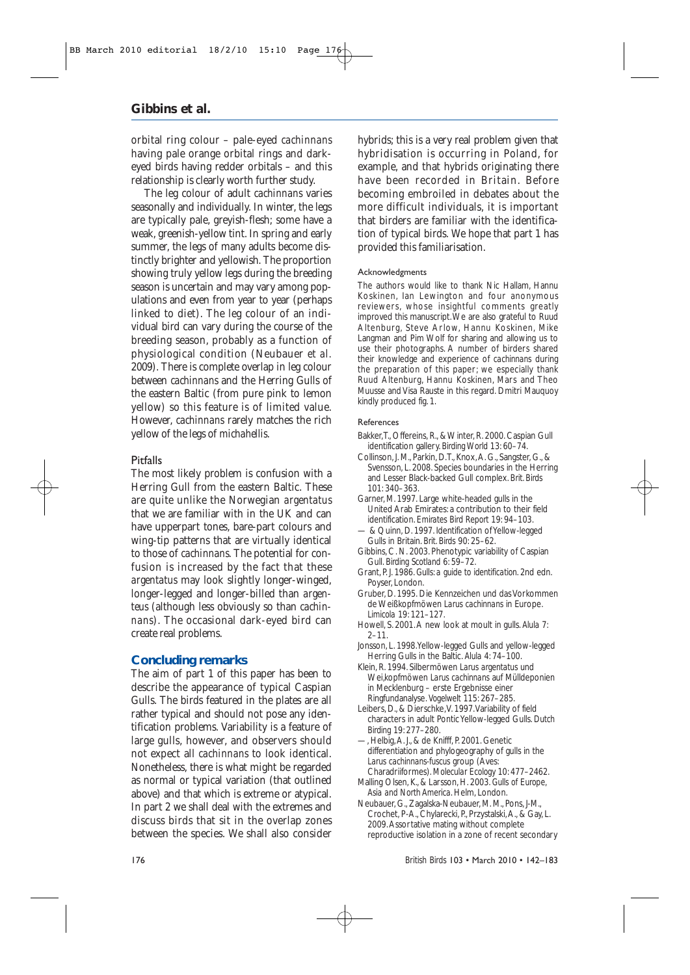orbital ring colour – pale-eyed *cachinnans* having pale orange orbital rings and darkeyed birds having redder orbitals – and this relationship is clearly worth further study.

The leg colour of adult *cachinnans* varies seasonally and individually. In winter, the legs are typically pale, greyish-flesh; some have a weak, greenish-yellow tint. In spring and early summer, the legs of many adults become distinctly brighter and yellowish. The proportion showing truly yellow legs during the breeding season is uncertain and may vary among populations and even from year to year (perhaps linked to diet). The leg colour of an individual bird can vary during the course of the breeding season, probably as a function of physiological condition (Neubauer *et al.* 2009). There is complete overlap in leg colour between *cachinnans* and the Herring Gulls of the eastern Baltic (from pure pink to lemon yellow) so this feature is of limited value. However, *cachinnans* rarely matches the rich yellow of the legs of *michahellis*.

#### **Pitfalls**

The most likely problem is confusion with a Herring Gull from the eastern Baltic. These are quite unlike the Norwegian *argentatus* that we are familiar with in the UK and can have upperpart tones, bare-part colours and wing-tip patterns that are virtually identical to those of *cachinnans*. The potential for confusion is increased by the fact that these *argentatus* may look slightly longer-winged, longer-legged and longer-billed than *argenteus* (although less obviously so than *cachinnans*). The occasional dark-eyed bird can create real problems.

#### **Concluding remarks**

The aim of part 1 of this paper has been to describe the appearance of typical Caspian Gulls. The birds featured in the plates are all rather typical and should not pose any identification problems. Variability is a feature of large gulls, however, and observers should not expect all *cachinnans* to look identical. Nonetheless, there is what might be regarded as normal or typical variation (that outlined above) and that which is extreme or atypical. In part 2 we shall deal with the extremes and discuss birds that sit in the overlap zones between the species. We shall also consider

hybrids; this is a very real problem given that hybridisation is occurring in Poland, for example, and that hybrids originating there have been recorded in Britain. Before becoming embroiled in debates about the more difficult individuals, it is important that birders are familiar with the identification of typical birds. We hope that part 1 has provided this familiarisation.

#### Acknowledgments

The authors would like to thank Nic Hallam, Hannu Koskinen, Ian Lewington and four anonymous reviewers, whose insightful comments greatly improved this manuscript.We are also grateful to Ruud Altenburg, Steve Arlow, Hannu Koskinen, Mike Langman and Pim Wolf for sharing and allowing us to use their photographs. A number of birders shared their knowledge and experience of *cachinnans* during the preparation of this paper; we especially thank Ruud Altenburg, Hannu Koskinen, Mars and Theo Muusse and Visa Rauste in this regard. Dmitri Mauquoy kindly produced fig. 1.

#### References

- Bakker,T., Offereins, R., & Winter, R. 2000. Caspian Gull identification gallery. *Birding World* 13: 60–74.
- Collinson, J. M., Parkin, D.T., Knox,A. G., Sangster, G., & Svensson, L. 2008. Species boundaries in the Herring and Lesser Black-backed Gull complex. *Brit. Birds* 101: 340–363.
- Garner, M. 1997. Large white-headed gulls in the United Arab Emirates: a contribution to their field identification. *Emirates Bird Report* 19: 94–103.
- & Quinn, D. 1997. Identification of Yellow-legged Gulls in Britain. *Brit. Birds* 90: 25–62.
- Gibbins, C. N. 2003. Phenotypic variability of Caspian Gull. *Birding Scotland* 6: 59–72.
- Grant, P.J. 1986. Gulls: a guide to identification. 2nd edn. Poyser, London.
- Gruber, D. 1995. Die Kennzeichen und das Vorkommen de Weißkopfmöwen *Larus cachinnans* in Europe. *Limicola* 19: 121–127.
- Howell, S. 2001.A new look at moult in gulls. *Alula* 7: 2–11.
- Jonsson, L. 1998.Yellow-legged Gulls and yellow-legged Herring Gulls in the Baltic. *Alula* 4: 74–100.
- Klein, R. 1994. Silbermöwen *Larus argentatus* und Wei'kopfmöwen *Larus cachinnans* auf Mülldeponien in Mecklenburg – erste Ergebnisse einer Ringfundanalyse. *Vogelwelt* 115: 267–285.
- Leibers, D., & Dierschke,V. 1997.Variability of field
- characters in adult Pontic Yellow-legged Gulls. *Dutch Birding* 19: 277–280.
- —, Helbig,A. J., & de Knifff, P. 2001. Genetic differentiation and phylogeography of gulls in the *Larus cachinnans-fuscus* group (Aves:
- Charadriiformes). *Molecular Ecology* 10: 477–2462. Malling Olsen, K., & Larsson, H. 2003. *Gulls of Europe, Asia and North America*. Helm, London.
- Neubauer, G., Zagalska-Neubauer, M. M., Pons, J-M., Crochet, P-A., Chylarecki, P., Przystalski,A., & Gay, L. 2009.Assortative mating without complete reproductive isolation in a zone of recent secondary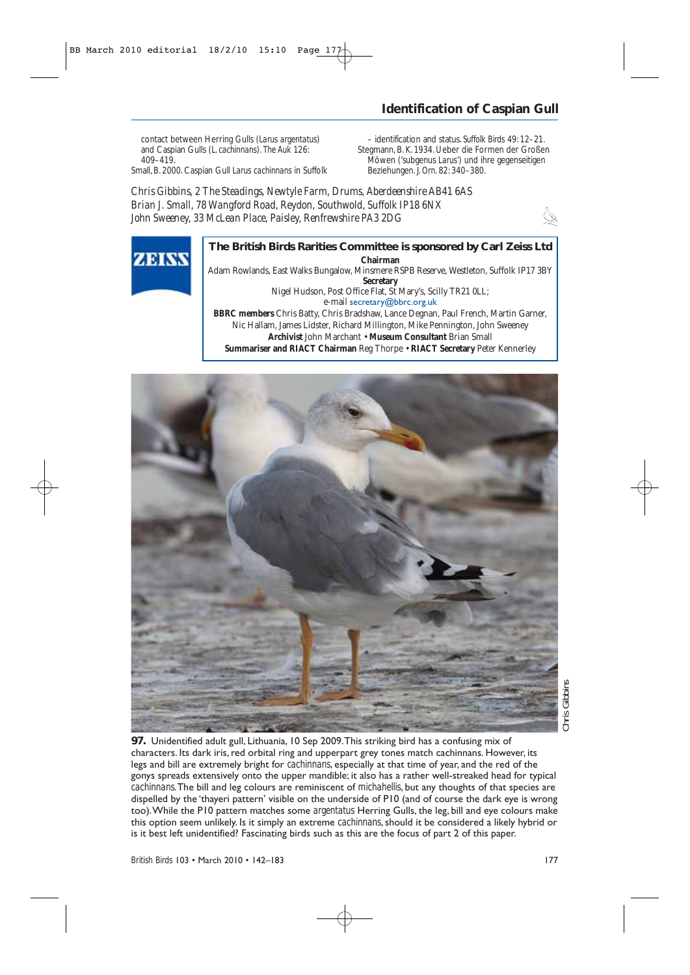### **Identification of Caspian Gull**

contact between Herring Gulls (*Larus argentatus*) and Caspian Gulls (*L. cachinnans*). *The Auk* 126: 409–419. Small, B. 2000. Caspian Gull *Larus cachinnans* in Suffolk

– identification and status. *Suffolk Birds* 49: 12–21. Stegmann, B. K. 1934. Ueber die Formen der Großen Möwen ('subgenus *Larus*') und ihre gegenseitigen Beziehungen. *J. Orn*. 82: 340–380.

*Chris Gibbins, 2 The Steadings, Newtyle Farm, Drums, Aberdeenshire AB41 6AS Brian J. Small, 78 Wangford Road, Reydon, Southwold, Suffolk IP18 6NX John Sweeney, 33 McLean Place, Paisley, Renfrewshire PA3 2DG* 



### **The British Birds Rarities Committee is sponsored by Carl Zeiss Ltd Chairman**

Adam Rowlands, East Walks Bungalow, Minsmere RSPB Reserve, Westleton, Suffolk IP17 3BY **Secretary** Nigel Hudson, Post Office Flat, St Mary's, Scilly TR21 0LL;

e-mail secretary@bbrc.org.uk

**BBRC members** Chris Batty, Chris Bradshaw, Lance Degnan, Paul French, Martin Garner, Nic Hallam, James Lidster, Richard Millington, Mike Pennington, John Sweeney **Archivist** John Marchant • **Museum Consultant** Brian Small **Summariser and RIACT Chairman** Reg Thorpe • **RIACT Secretary** Peter Kennerley



**97.** Unidentified adult gull, Lithuania, 10 Sep 2009.This striking bird has a confusing mix of characters. Its dark iris, red orbital ring and upperpart grey tones match cachinnans. However, its legs and bill are extremely bright for *cachinnans*, especially at that time of year, and the red of the gonys spreads extensively onto the upper mandible; it also has a rather well-streaked head for typical *cachinnans*.The bill and leg colours are reminiscent of *michahellis*, but any thoughts of that species are dispelled by the 'thayeri pattern' visible on the underside of P10 (and of course the dark eye is wrong too).While the P10 pattern matches some *argentatus* Herring Gulls, the leg, bill and eye colours make this option seem unlikely. Is it simply an extreme *cachinnans*, should it be considered a likely hybrid or is it best left unidentified? Fascinating birds such as this are the focus of part 2 of this paper.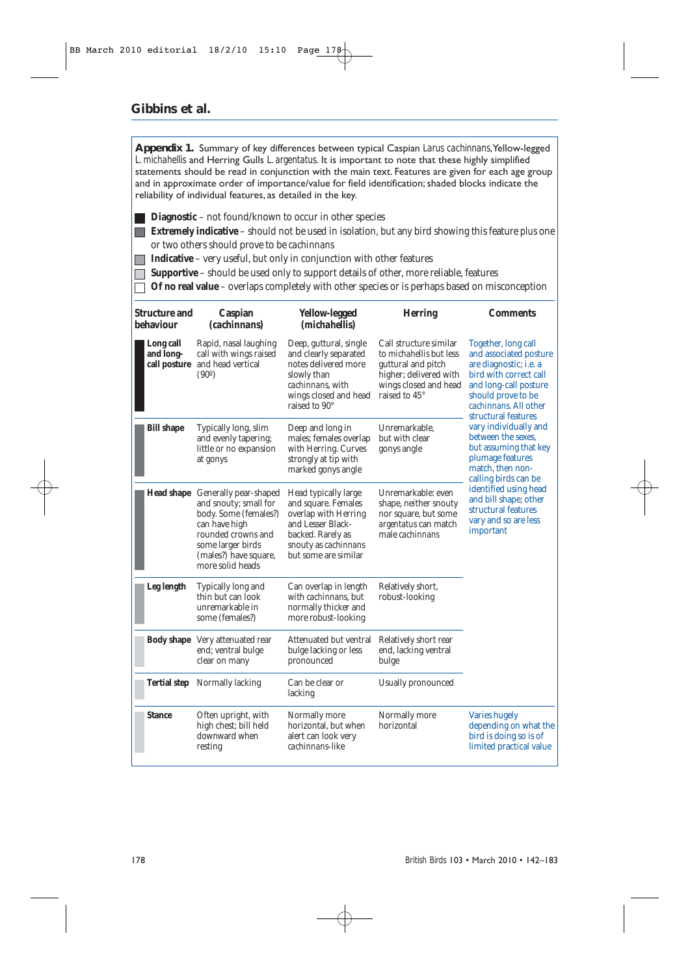**Appendix 1.** Summary of key differences between typical Caspian *Larus cachinnans*,Yellow-legged *L. michahellis* and Herring Gulls *L. argentatus*. It is important to note that these highly simplified statements should be read in conjunction with the main text. Features are given for each age group and in approximate order of importance/value for field identification; shaded blocks indicate the reliability of individual features, as detailed in the key.

- **Diagnostic** not found/known to occur in other species
- **Extremely indicative** should not be used in isolation, but any bird showing this feature *plus* one or two others should prove to be *cachinnans*
- **Indicative** very useful, but only in conjunction with other features
- **Supportive** should be used only to support details of other, more reliable, features
- **Of no real value**  overlaps completely with other species or is perhaps based on misconception

| <b>Structure and</b><br>behaviour      | Caspian<br><i>(cachinnans)</i>                                                                                                                                                              | Yellow-legged<br>( <i>michahellis</i> )                                                                                                                       | <b>Herring</b>                                                                                                                                     | <b>Comments</b>                                                                                                                                                                                                                                                                                                                                                                                                                                        |
|----------------------------------------|---------------------------------------------------------------------------------------------------------------------------------------------------------------------------------------------|---------------------------------------------------------------------------------------------------------------------------------------------------------------|----------------------------------------------------------------------------------------------------------------------------------------------------|--------------------------------------------------------------------------------------------------------------------------------------------------------------------------------------------------------------------------------------------------------------------------------------------------------------------------------------------------------------------------------------------------------------------------------------------------------|
| Long call<br>and long-<br>call posture | Rapid, nasal laughing<br>call with wings raised<br>and head vertical<br>(90°)                                                                                                               | Deep, guttural, single<br>and clearly separated<br>notes delivered more<br>slowly than<br><i>cachinnans</i> , with<br>wings closed and head<br>raised to 90°  | Call structure similar<br>to <i>michahellis</i> but less<br>guttural and pitch<br>higher; delivered with<br>wings closed and head<br>raised to 45° | Together, long call<br>and associated posture<br>are diagnostic; i.e. a<br>bird with correct call<br>and long-call posture<br>should prove to be<br>cachinnans. All other<br>structural features<br>vary individually and<br>between the sexes.<br>but assuming that key<br>plumage features<br>match, then non-<br>calling birds can be<br>identified using head<br>and bill shape; other<br>structural features<br>vary and so are less<br>important |
| <b>Bill shape</b>                      | Typically long, slim<br>and evenly tapering;<br>little or no expansion<br>at gonys                                                                                                          | Deep and long in<br>males; females overlap<br>with Herring. Curves<br>strongly at tip with<br>marked gonys angle                                              | Unremarkable.<br>but with clear<br>gonys angle                                                                                                     |                                                                                                                                                                                                                                                                                                                                                                                                                                                        |
|                                        | Head shape Generally pear-shaped<br>and snouty; small for<br>body. Some (females?)<br>can have high<br>rounded crowns and<br>some larger birds<br>(males?) have square,<br>more solid heads | Head typically large<br>and square. Females<br>overlap with Herring<br>and Lesser Black-<br>backed. Rarely as<br>snouty as cachinnans<br>but some are similar | Unremarkable: even<br>shape, neither snouty<br>nor square, but some<br><i>argentatus</i> can match<br>male <i>cachinnans</i>                       |                                                                                                                                                                                                                                                                                                                                                                                                                                                        |
| Leg length                             | Typically long and<br>thin but can look<br>unremarkable in<br>some (females?)                                                                                                               | Can overlap in length<br>with cachinnans, but<br>normally thicker and<br>more robust-looking                                                                  | Relatively short,<br>robust-looking                                                                                                                |                                                                                                                                                                                                                                                                                                                                                                                                                                                        |
|                                        | <b>Body shape</b> Very attenuated rear<br>end; ventral bulge<br>clear on many                                                                                                               | Attenuated but ventral<br>bulge lacking or less<br>pronounced                                                                                                 | Relatively short rear<br>end, lacking ventral<br>bulge                                                                                             |                                                                                                                                                                                                                                                                                                                                                                                                                                                        |
|                                        | Tertial step Normally lacking                                                                                                                                                               | Can be clear or<br>lacking                                                                                                                                    | Usually pronounced                                                                                                                                 |                                                                                                                                                                                                                                                                                                                                                                                                                                                        |
| <b>Stance</b>                          | Often upright, with<br>high chest; bill held<br>downward when<br>resting                                                                                                                    | Normally more<br>horizontal, but when<br>alert can look very<br>cachinnans-like                                                                               | Normally more<br>horizontal                                                                                                                        | <b>Varies hugely</b><br>depending on what the<br>bird is doing so is of<br>limited practical value                                                                                                                                                                                                                                                                                                                                                     |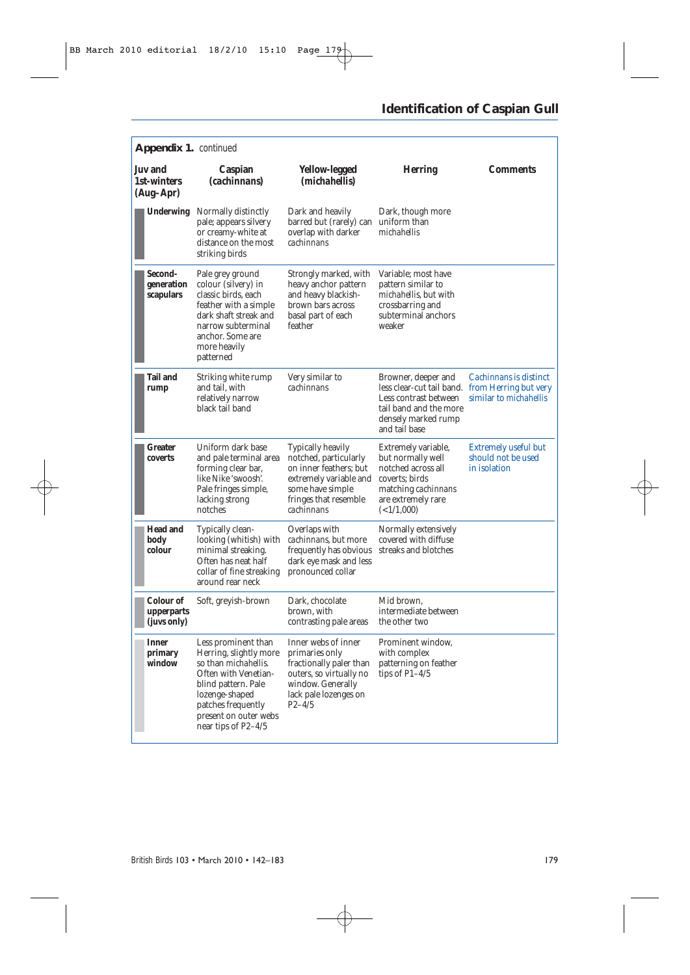### **Identification of Caspian Gull**

| Appendix 1. continued                      |                                                                                                                                                                                                                      |                                                                                                                                                                  |                                                                                                                                             |                                                                                  |  |
|--------------------------------------------|----------------------------------------------------------------------------------------------------------------------------------------------------------------------------------------------------------------------|------------------------------------------------------------------------------------------------------------------------------------------------------------------|---------------------------------------------------------------------------------------------------------------------------------------------|----------------------------------------------------------------------------------|--|
| <b>Juv</b> and<br>1st-winters<br>(Aug–Apr) | Caspian<br>(cachinnans)                                                                                                                                                                                              | <b>Yellow-legged</b><br>( <i>michahellis</i> )                                                                                                                   | <b>Herring</b>                                                                                                                              | <b>Comments</b>                                                                  |  |
| <b>Underwing</b>                           | Normally distinctly<br>pale; appears silvery<br>or creamy-white at<br>distance on the most<br>striking birds                                                                                                         | Dark and heavily<br>barred but (rarely) can uniform than<br>overlap with darker<br>cachinnans                                                                    | Dark, though more<br>michahellis                                                                                                            |                                                                                  |  |
| Second-<br>generation<br>scapulars         | Pale grey ground<br>colour (silvery) in<br>classic birds, each<br>feather with a simple<br>dark shaft streak and<br>narrow subterminal<br>anchor. Some are<br>more heavily<br>patterned                              | Strongly marked, with<br>heavy anchor pattern<br>and heavy blackish-<br>brown bars across<br>basal part of each<br>feather                                       | Variable; most have<br>pattern similar to<br>michahellis, but with<br>crossbarring and<br>subterminal anchors<br>weaker                     |                                                                                  |  |
| <b>Tail and</b><br>rump                    | Striking white rump<br>and tail, with<br>relatively narrow<br>black tail band                                                                                                                                        | Very similar to<br>cachinnans                                                                                                                                    | Browner, deeper and<br>less clear-cut tail band.<br>Less contrast between<br>tail band and the more<br>densely marked rump<br>and tail base | Cachinnans is distinct<br>from Herring but very<br>similar to <i>michahellis</i> |  |
| Greater<br>coverts                         | Uniform dark base<br>and pale terminal area<br>forming clear bar,<br>like Nike 'swoosh'.<br>Pale fringes simple,<br>lacking strong<br>notches                                                                        | <b>Typically heavily</b><br>notched, particularly<br>on inner feathers; but<br>extremely variable and<br>some have simple<br>fringes that resemble<br>cachinnans | Extremely variable,<br>but normally well<br>notched across all<br>coverts; birds<br>matching cachinnans<br>are extremely rare<br>(<1/1,000) | <b>Extremely useful but</b><br>should not be used<br>in isolation                |  |
| <b>Head and</b><br>body<br>colour          | Typically clean-<br>looking (whitish) with<br>minimal streaking.<br>Often has neat half<br>collar of fine streaking<br>around rear neck                                                                              | Overlaps with<br>cachinnans, but more<br>frequently has obvious<br>dark eye mask and less<br>pronounced collar                                                   | Normally extensively<br>covered with diffuse<br>streaks and blotches                                                                        |                                                                                  |  |
| Colour of<br>upperparts<br>(juvs only)     | Soft, greyish-brown                                                                                                                                                                                                  | Dark, chocolate<br>brown, with<br>contrasting pale areas                                                                                                         | Mid brown.<br>intermediate between<br>the other two                                                                                         |                                                                                  |  |
| <b>Inner</b><br>primary<br>window          | Less prominent than<br>Herring, slightly more<br>so than <i>michahellis</i> .<br>Often with Venetian-<br>blind pattern. Pale<br>lozenge-shaped<br>patches frequently<br>present on outer webs<br>near tips of P2-4/5 | Inner webs of inner<br>primaries only<br>fractionally paler than<br>outers, so virtually no<br>window. Generally<br>lack pale lozenges on<br>$P_{2-4/5}$         | Prominent window,<br>with complex<br>patterning on feather<br>tips of $P1-4/5$                                                              |                                                                                  |  |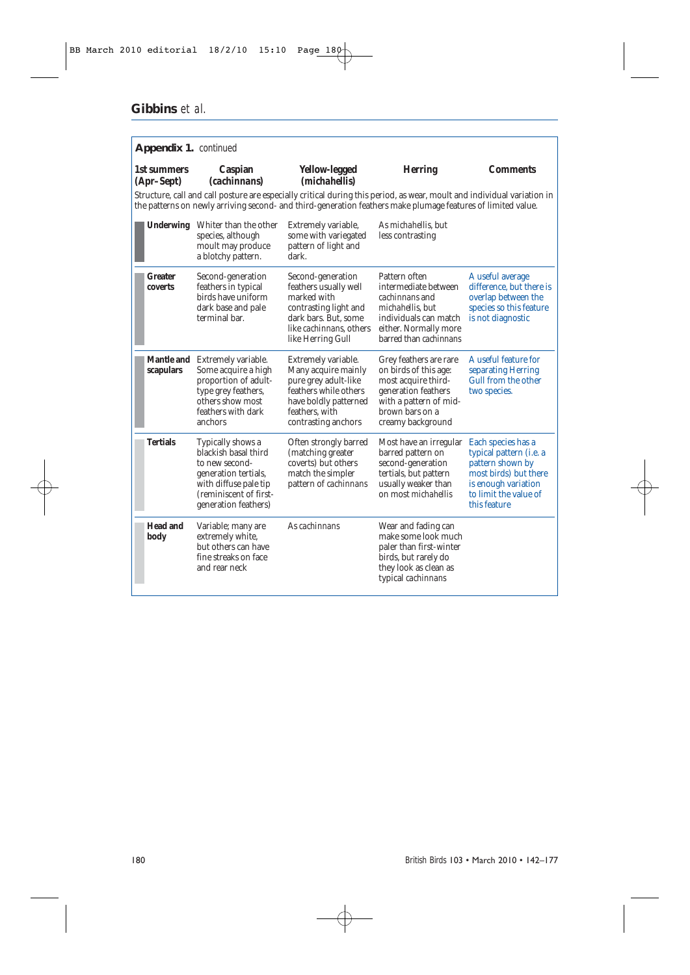| Appendix 1. continued     |                                                                                                                                                                |                                                                                                                                                                                                                                                                                    |                                                                                                                                                                       |                                                                                                                                                                    |
|---------------------------|----------------------------------------------------------------------------------------------------------------------------------------------------------------|------------------------------------------------------------------------------------------------------------------------------------------------------------------------------------------------------------------------------------------------------------------------------------|-----------------------------------------------------------------------------------------------------------------------------------------------------------------------|--------------------------------------------------------------------------------------------------------------------------------------------------------------------|
| 1st summers<br>(Apr-Sept) | Caspian<br><i>(cachinnans)</i>                                                                                                                                 | Yellow-legged<br>( <i>michahellis</i> )<br>Structure, call and call posture are especially critical during this period, as wear, moult and individual variation in<br>the patterns on newly arriving second- and third-generation feathers make plumage features of limited value. | <b>Herring</b>                                                                                                                                                        | <b>Comments</b>                                                                                                                                                    |
|                           | Underwing Whiter than the other<br>species, although<br>moult may produce<br>a blotchy pattern.                                                                | Extremely variable,<br>some with variegated<br>pattern of light and<br>dark.                                                                                                                                                                                                       | As <i>michahellis</i> , but<br>less contrasting                                                                                                                       |                                                                                                                                                                    |
| <b>Greater</b><br>coverts | Second-generation<br>feathers in typical<br>birds have uniform<br>dark base and pale<br>terminal bar.                                                          | Second-generation<br>feathers usually well<br>marked with<br>contrasting light and<br>dark bars. But. some<br>like <i>cachinnans</i> , others<br>like Herring Gull                                                                                                                 | Pattern often<br>intermediate between<br><i>cachinnans</i> and<br>michahellis, but<br>individuals can match<br>either. Normally more<br>barred than <i>cachinnans</i> | A useful average<br>difference, but there is<br>overlap between the<br>species so this feature<br>is not diagnostic                                                |
| scapulars                 | Mantle and Extremely variable.<br>Some acquire a high<br>proportion of adult-<br>type grey feathers,<br>others show most<br>feathers with dark<br>anchors      | Extremely variable.<br>Many acquire mainly<br>pure grey adult-like<br>feathers while others<br>have boldly patterned<br>feathers, with<br>contrasting anchors                                                                                                                      | Grey feathers are rare<br>on birds of this age:<br>most acquire third-<br>generation feathers<br>with a pattern of mid-<br>brown bars on a<br>creamy background       | A useful feature for<br>separating Herring<br>Gull from the other<br>two species.                                                                                  |
| <b>Tertials</b>           | Typically shows a<br>blackish basal third<br>to new second-<br>generation tertials,<br>with diffuse pale tip<br>(reminiscent of first-<br>generation feathers) | Often strongly barred<br>(matching greater<br>coverts) but others<br>match the simpler<br>pattern of cachinnans                                                                                                                                                                    | Most have an irregular<br>barred pattern on<br>second-generation<br>tertials, but pattern<br>usually weaker than<br>on most <i>michahellis</i>                        | Each species has a<br>typical pattern ( <i>i.e.</i> a<br>pattern shown by<br>most birds) but there<br>is enough variation<br>to limit the value of<br>this feature |
| <b>Head and</b><br>body   | Variable; many are<br>extremely white,<br>but others can have<br>fine streaks on face<br>and rear neck                                                         | As cachinnans                                                                                                                                                                                                                                                                      | Wear and fading can<br>make some look much<br>paler than first-winter<br>birds, but rarely do<br>they look as clean as<br>typical cachinnans                          |                                                                                                                                                                    |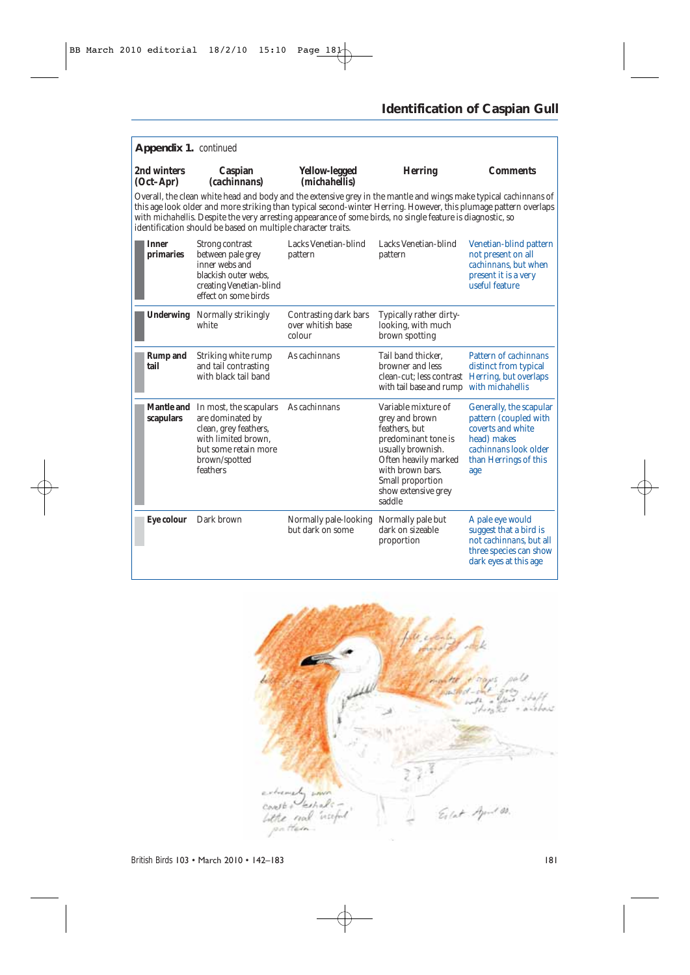### **Identification of Caspian Gull**

| Appendix 1. continued                                                                                                                                                                                                                                                                                                                                                                                              |                                                                                                                                                 |                                                      |                                                                                                                                                                                                     |                                                                                                                                               |  |
|--------------------------------------------------------------------------------------------------------------------------------------------------------------------------------------------------------------------------------------------------------------------------------------------------------------------------------------------------------------------------------------------------------------------|-------------------------------------------------------------------------------------------------------------------------------------------------|------------------------------------------------------|-----------------------------------------------------------------------------------------------------------------------------------------------------------------------------------------------------|-----------------------------------------------------------------------------------------------------------------------------------------------|--|
| 2nd winters<br>$(Oct-Apr)$                                                                                                                                                                                                                                                                                                                                                                                         | Caspian<br><i>(cachinnans)</i>                                                                                                                  | Yellow-legged<br>( <i>michahellis</i> )              | <b>Herring</b>                                                                                                                                                                                      | <b>Comments</b>                                                                                                                               |  |
| Overall, the clean white head and body and the extensive grey in the mantle and wings make typical cachinnans of<br>this age look older and more striking than typical second-winter Herring. However, this plumage pattern overlaps<br>with michahellis. Despite the very arresting appearance of some birds, no single feature is diagnostic, so<br>identification should be based on multiple character traits. |                                                                                                                                                 |                                                      |                                                                                                                                                                                                     |                                                                                                                                               |  |
| <b>Inner</b><br>primaries                                                                                                                                                                                                                                                                                                                                                                                          | Strong contrast<br>between pale grey<br>inner webs and<br>blackish outer webs.<br>creating Venetian-blind<br>effect on some birds               | Lacks Venetian-blind<br>pattern                      | Lacks Venetian-blind<br>pattern                                                                                                                                                                     | Venetian-blind pattern<br>not present on all<br>cachinnans, but when<br>present it is a very<br>useful feature                                |  |
|                                                                                                                                                                                                                                                                                                                                                                                                                    | <b>Underwing</b> Normally strikingly<br>white                                                                                                   | Contrasting dark bars<br>over whitish base<br>colour | Typically rather dirty-<br>looking, with much<br>brown spotting                                                                                                                                     |                                                                                                                                               |  |
| <b>Rump</b> and<br>tail                                                                                                                                                                                                                                                                                                                                                                                            | Striking white rump<br>and tail contrasting<br>with black tail band                                                                             | As cachinnans                                        | Tail band thicker.<br>browner and less<br>clean-cut; less contrast Herring, but overlaps<br>with tail base and rump with <i>michahellis</i>                                                         | Pattern of <i>cachinnans</i><br>distinct from typical                                                                                         |  |
| <b>Mantle and</b><br>scapulars                                                                                                                                                                                                                                                                                                                                                                                     | In most, the scapulars<br>are dominated by<br>clean, grey feathers,<br>with limited brown.<br>but some retain more<br>brown/spotted<br>feathers | As cachinnans                                        | Variable mixture of<br>grey and brown<br>feathers, but<br>predominant tone is<br>usually brownish.<br>Often heavily marked<br>with brown bars.<br>Small proportion<br>show extensive grey<br>saddle | Generally, the scapular<br>pattern (coupled with<br>coverts and white<br>head) makes<br>cachinnans look older<br>than Herrings of this<br>age |  |
| Eye colour                                                                                                                                                                                                                                                                                                                                                                                                         | Dark brown                                                                                                                                      | Normally pale-looking<br>but dark on some            | Normally pale but<br>dark on sizeable<br>proportion                                                                                                                                                 | A pale eye would<br>suggest that a bird is<br>not <i>cachinnans</i> , but all<br>three species can show<br>dark eyes at this age              |  |

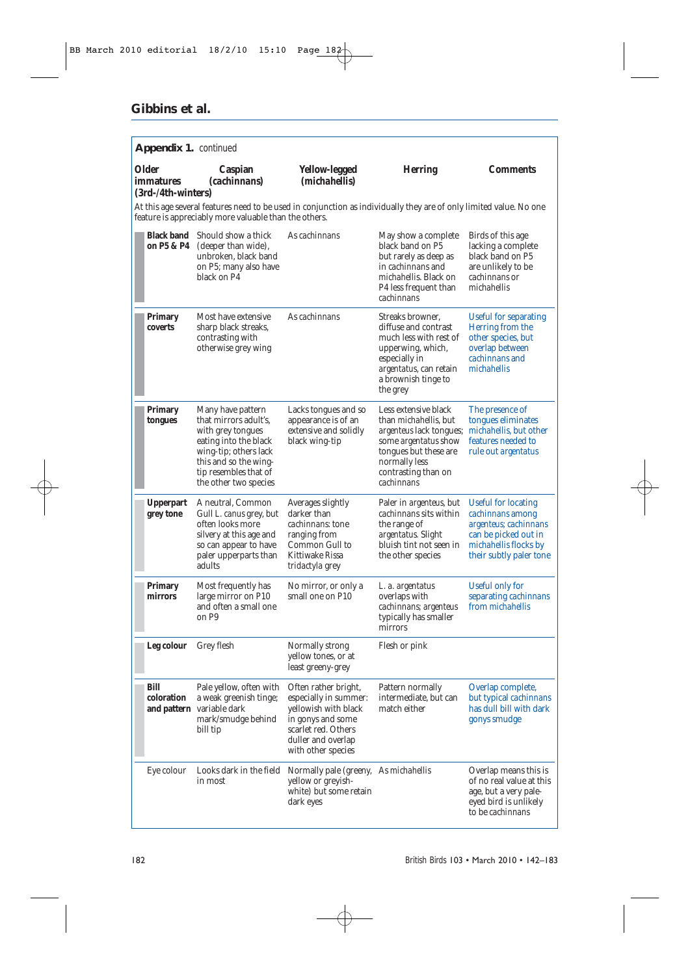| Appendix 1. continued                    |                                                                                                                                                                                              |                                                                                                                                                               |                                                                                                                                                                                                                       |                                                                                                                                                     |  |
|------------------------------------------|----------------------------------------------------------------------------------------------------------------------------------------------------------------------------------------------|---------------------------------------------------------------------------------------------------------------------------------------------------------------|-----------------------------------------------------------------------------------------------------------------------------------------------------------------------------------------------------------------------|-----------------------------------------------------------------------------------------------------------------------------------------------------|--|
| Older<br>immatures<br>(3rd-/4th-winters) | Caspian<br>(cachinnans)                                                                                                                                                                      | Yellow-legged<br>( <i>michahellis</i> )                                                                                                                       | <b>Herring</b>                                                                                                                                                                                                        | <b>Comments</b>                                                                                                                                     |  |
|                                          | feature is appreciably more valuable than the others.                                                                                                                                        | At this age several features need to be used in conjunction as individually they are of only limited value. No one                                            |                                                                                                                                                                                                                       |                                                                                                                                                     |  |
| on P5 & P4                               | Black band Should show a thick<br>(deeper than wide),<br>unbroken, black band<br>on P5; many also have<br>black on P4                                                                        | As cachinnans                                                                                                                                                 | May show a complete<br>black band on P5<br>but rarely as deep as<br>in <i>cachinnans</i> and<br><i>michahellis</i> . Black on<br>P4 less frequent than<br>cachinnans                                                  | Birds of this age<br>lacking a complete<br>black band on P5<br>are unlikely to be<br>cachinnans or<br>michahellis                                   |  |
| Primary<br>coverts                       | Most have extensive<br>sharp black streaks,<br>contrasting with<br>otherwise grey wing                                                                                                       | As cachinnans                                                                                                                                                 | Streaks browner.<br>diffuse and contrast<br>much less with rest of<br>upperwing, which,<br>especially in<br>argentatus, can retain<br>a brownish tinge to<br>the grey                                                 | <b>Useful for separating</b><br>Herring from the<br>other species, but<br>overlap between<br><i>cachinnans</i> and<br>michahellis                   |  |
| Primary<br>tongues                       | Many have pattern<br>that mirrors adult's.<br>with grey tongues<br>eating into the black<br>wing-tip; others lack<br>this and so the wing-<br>tip resembles that of<br>the other two species | Lacks tongues and so<br>appearance is of an<br>extensive and solidly<br>black wing-tip                                                                        | Less extensive black<br>than <i>michahellis</i> , but<br>argenteus lack tongues; michahellis, but other<br>some <i>argentatus</i> show<br>tongues but these are<br>normally less<br>contrasting than on<br>cachinnans | The presence of<br>tongues eliminates<br>features needed to<br>rule out argentatus                                                                  |  |
| <b>Upperpart</b><br>grey tone            | A neutral, Common<br>Gull L. canus grey, but<br>often looks more<br>silvery at this age and<br>so can appear to have<br>paler upperparts than<br>adults                                      | Averages slightly<br>darker than<br><i>cachinnans</i> : tone<br>ranging from<br>Common Gull to<br>Kittiwake Rissa<br><i>tridactyla</i> grey                   | Paler in <i>argenteus</i> , but<br>cachinnans sits within<br>the range of<br>argentatus. Slight<br>bluish tint not seen in<br>the other species                                                                       | <b>Useful for locating</b><br>cachinnans among<br>argenteus, cachinnans<br>can be picked out in<br>michahellis flocks by<br>their subtly paler tone |  |
| Primary<br>mirrors                       | Most frequently has<br>large mirror on P10<br>and often a small one<br>on P9                                                                                                                 | No mirror, or only a<br>small one on P10                                                                                                                      | L. a. argentatus<br>overlaps with<br>cachinnans; argenteus<br>typically has smaller<br>mirrors                                                                                                                        | Useful only for<br>separating cachinnans<br>from <i>michahellis</i>                                                                                 |  |
| Leg colour                               | Grey flesh                                                                                                                                                                                   | Normally strong<br>yellow tones, or at<br>least greeny-grey                                                                                                   | Flesh or pink                                                                                                                                                                                                         |                                                                                                                                                     |  |
| Bill<br>coloration                       | Pale yellow, often with<br>a weak greenish tinge;<br>and pattern variable dark<br>mark/smudge behind<br>bill tip                                                                             | Often rather bright,<br>especially in summer:<br>yellowish with black<br>in gonys and some<br>scarlet red. Others<br>duller and overlap<br>with other species | Pattern normally<br>intermediate, but can<br>match either                                                                                                                                                             | Overlap complete,<br>but typical <i>cachinnans</i><br>has dull bill with dark<br>gonys smudge                                                       |  |
| Eye colour                               | Looks dark in the field<br>in most                                                                                                                                                           | Normally pale (greeny, As michahellis<br>yellow or greyish-<br>white) but some retain<br>dark eyes                                                            |                                                                                                                                                                                                                       | Overlap means this is<br>of no real value at this<br>age, but a very pale-<br>eyed bird is unlikely<br>to be cachinnans                             |  |